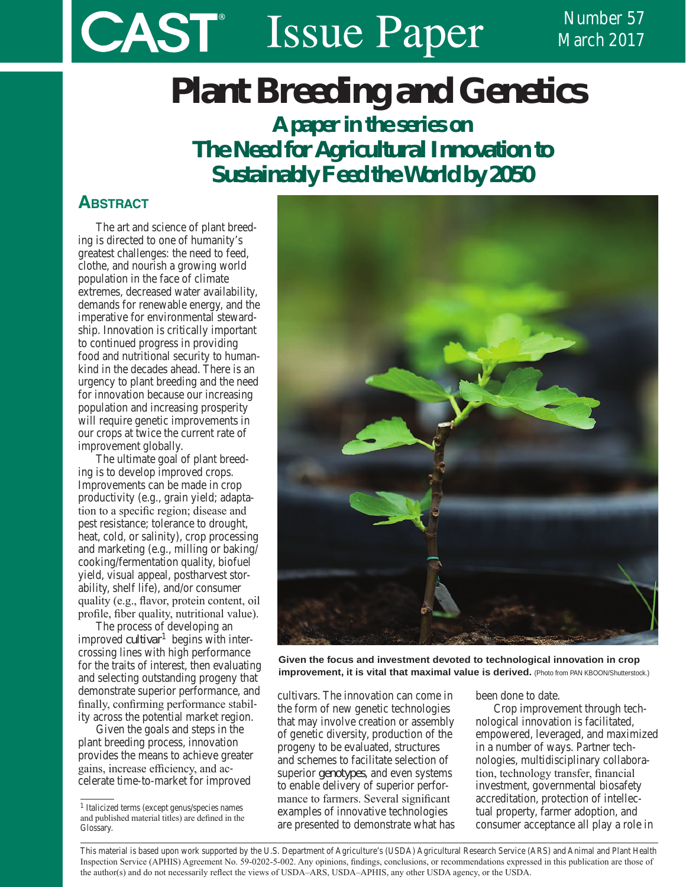# **CAST** Issue Paper

Number 57 March 2017

# **Plant Breeding and Genetics**

*A paper in the series on The Need for Agricultural Innovation to Sustainably Feed the World by 2050*

# **ABSTRACT**

The art and science of plant breeding is directed to one of humanity's greatest challenges: the need to feed, clothe, and nourish a growing world population in the face of climate extremes, decreased water availability, demands for renewable energy, and the imperative for environmental stewardship. Innovation is critically important to continued progress in providing food and nutritional security to humankind in the decades ahead. There is an urgency to plant breeding and the need for innovation because our increasing population and increasing prosperity will require genetic improvements in our crops at twice the current rate of improvement globally.

The ultimate goal of plant breeding is to develop improved crops. Improvements can be made in crop productivity (e.g., grain yield; adaptation to a specific region; disease and pest resistance; tolerance to drought, heat, cold, or salinity), crop processing and marketing (e.g., milling or baking/ cooking/fermentation quality, biofuel yield, visual appeal, postharvest storability, shelf life), and/or consumer quality (e.g., flavor, protein content, oil profile, fiber quality, nutritional value).

The process of developing an improved *cultivar*1 begins with intercrossing lines with high performance for the traits of interest, then evaluating and selecting outstanding progeny that demonstrate superior performance, and finally, confirming performance stability across the potential market region.

Given the goals and steps in the plant breeding process, innovation provides the means to achieve greater gains, increase efficiency, and accelerate time-to-market for improved



**Given the focus and investment devoted to technological innovation in crop Given the focus and investment devoted to technological innovation in crop improvement, it is vital that maximal value is derived. improvement, it is vital that maximal value is derived.** (Photo from PAN KBOON/Shutterstock.)

cultivars. The innovation can come in the form of new genetic technologies that may involve creation or assembly of genetic diversity, production of the progeny to be evaluated, structures and schemes to facilitate selection of superior *genotypes*, and even systems to enable delivery of superior performance to farmers. Several significant examples of innovative technologies are presented to demonstrate what has

been done to date.

Crop improvement through technological innovation is facilitated, empowered, leveraged, and maximized in a number of ways. Partner technologies, multidisciplinary collaboration, technology transfer, financial investment, governmental biosafety accreditation, protection of intellectual property, farmer adoption, and consumer acceptance all play a role in

This material is based upon work supported by the U.S. Department of Agriculture's (USDA) Agricultural Research Service (ARS) and Animal and Plant Health Inspection Service (APHIS) Agreement No. 59-0202-5-002. Any opinions, findings, conclusions, or recommendations expressed in this publication are those of the author(s) and do not necessarily reflect the views of USDA–ARS, USDA–APHIS, any other USDA agency, or the USDA.

<sup>1</sup> Italicized terms (except genus/species names and published material titles) are defined in the Glossary.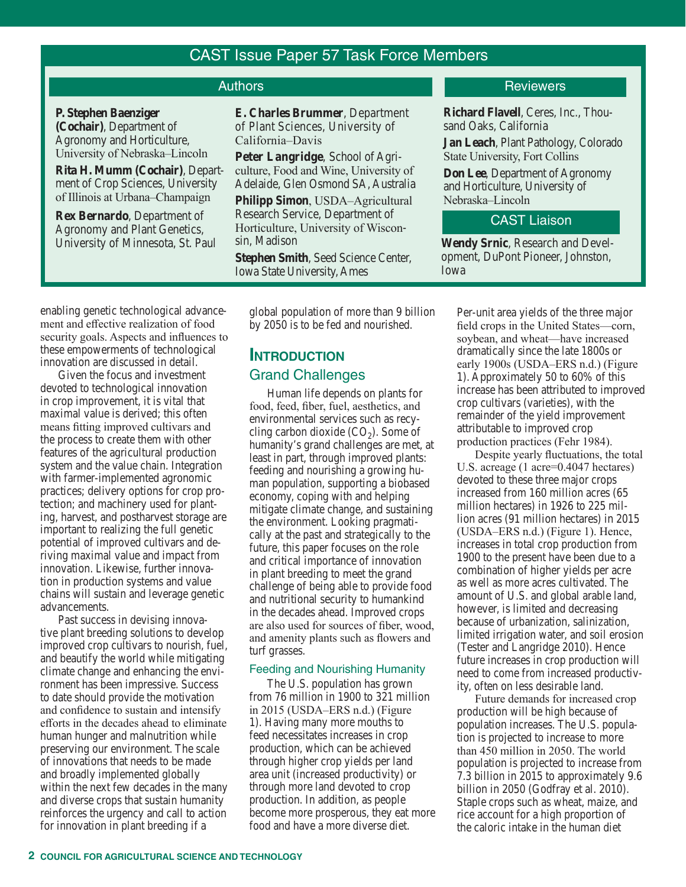# CAST Issue Paper 57 Task Force Members

**P. Stephen Baenziger (Cochair)**, Department of Agronomy and Horticulture, University of Nebraska–Lincoln

**Rita H. Mumm (Cochair)**, Department of Crop Sciences, University of Illinois at Urbana–Champaign

**Rex Bernardo**, Department of Agronomy and Plant Genetics, University of Minnesota, St. Paul **E. Charles Brummer**, Department of Plant Sciences, University of California–Davis

**Peter Langridge**, School of Agriculture, Food and Wine, University of Adelaide, Glen Osmond SA, Australia

**Philipp Simon**, USDA–Agricultural Research Service, Department of Horticulture, University of Wisconsin, Madison

**Stephen Smith**, Seed Science Center, Iowa State University, Ames

by 2050 is to be fed and nourished.

# Grand Challenges

Human life depends on plants for food, feed, fiber, fuel, aesthetics, and environmental services such as recycling carbon dioxide  $(CO<sub>2</sub>)$ . Some of humanity's grand challenges are met, at least in part, through improved plants: feeding and nourishing a growing human population, supporting a biobased economy, coping with and helping mitigate climate change, and sustaining the environment. Looking pragmatically at the past and strategically to the future, this paper focuses on the role and critical importance of innovation in plant breeding to meet the grand challenge of being able to provide food and nutritional security to humankind in the decades ahead. Improved crops are also used for sources of fiber, wood, and amenity plants such as flowers and turf grasses.

### Feeding and Nourishing Humanity

The U.S. population has grown from 76 million in 1900 to 321 million in 2015 (USDA–ERS n.d.) (Figure 1). Having many more mouths to feed necessitates increases in crop production, which can be achieved through higher crop yields per land area unit (increased productivity) or through more land devoted to crop production. In addition, as people become more prosperous, they eat more food and have a more diverse diet.

## Authors **Reviewers Authors Reviewers**

**Richard Flavell**, Ceres, Inc., Thousand Oaks, California

**Jan Leach**, Plant Pathology, Colorado State University, Fort Collins

**Don Lee**, Department of Agronomy and Horticulture, University of Nebraska–Lincoln

# CAST Liaison

**Wendy Srnic**, Research and Development, DuPont Pioneer, Johnston, Iowa

Per-unit area yields of the three major field crops in the United States—corn, soybean, and wheat—have increased dramatically since the late 1800s or early 1900s (USDA–ERS n.d.) (Figure 1). Approximately 50 to 60% of this increase has been attributed to improved crop cultivars (varieties), with the remainder of the yield improvement attributable to improved crop production practices (Fehr 1984).

Despite yearly fluctuations, the total U.S. acreage (1 acre=0.4047 hectares) devoted to these three major crops increased from 160 million acres (65 million hectares) in 1926 to 225 million acres (91 million hectares) in 2015 (USDA–ERS n.d.) (Figure 1). Hence, increases in total crop production from 1900 to the present have been due to a combination of higher yields per acre as well as more acres cultivated. The amount of U.S. and global arable land, however, is limited and decreasing

enabling genetic technological advancement and effective realization of food security goals. Aspects and influences to these empowerments of technological innovation are discussed in detail.

Given the focus and investment devoted to technological innovation in crop improvement, it is vital that maximal value is derived; this often means fitting improved cultivars and the process to create them with other features of the agricultural production system and the value chain. Integration with farmer-implemented agronomic practices; delivery options for crop protection; and machinery used for planting, harvest, and postharvest storage are important to realizing the full genetic potential of improved cultivars and deriving maximal value and impact from innovation. Likewise, further innovation in production systems and value chains will sustain and leverage genetic advancements.

Past success in devising innovative plant breeding solutions to develop improved crop cultivars to nourish, fuel, and beautify the world while mitigating climate change and enhancing the environment has been impressive. Success to date should provide the motivation and confidence to sustain and intensify efforts in the decades ahead to eliminate human hunger and malnutrition while preserving our environment. The scale of innovations that needs to be made and broadly implemented globally within the next few decades in the many and diverse crops that sustain humanity reinforces the urgency and call to action for innovation in plant breeding if a

global population of more than 9 billion

# **IntroductIon**

because of urbanization, salinization, limited irrigation water, and soil erosion (Tester and Langridge 2010). Hence future increases in crop production will need to come from increased productivity, often on less desirable land.

Future demands for increased crop production will be high because of population increases. The U.S. population is projected to increase to more than 450 million in 2050. The world population is projected to increase from 7.3 billion in 2015 to approximately 9.6 billion in 2050 (Godfray et al. 2010). Staple crops such as wheat, maize, and rice account for a high proportion of the caloric intake in the human diet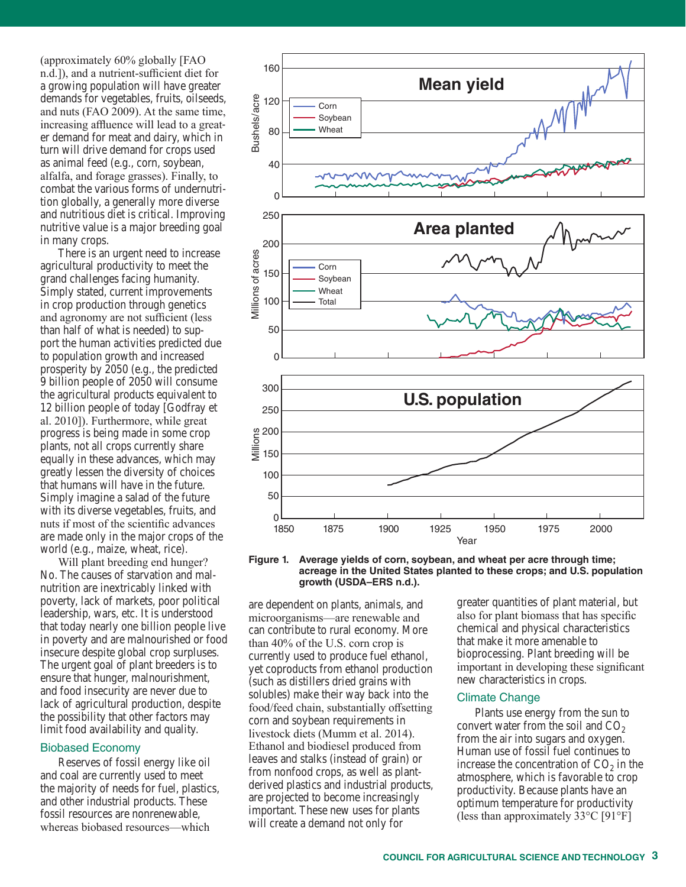(approximately 60% globally [FAO n.d.]), and a nutrient-sufficient diet for a growing population will have greater demands for vegetables, fruits, oilseeds, and nuts (FAO 2009). At the same time, increasing affluence will lead to a greater demand for meat and dairy, which in turn will drive demand for crops used as animal feed (e.g., corn, soybean, alfalfa, and forage grasses). Finally, to combat the various forms of undernutrition globally, a generally more diverse and nutritious diet is critical. Improving nutritive value is a major breeding goal in many crops.

There is an urgent need to increase agricultural productivity to meet the grand challenges facing humanity. Simply stated, current improvements in crop production through genetics and agronomy are not sufficient (less than half of what is needed) to support the human activities predicted due to population growth and increased prosperity by 2050 (e.g., the predicted 9 billion people of 2050 will consume the agricultural products equivalent to 12 billion people of today [Godfray et al. 2010]). Furthermore, while great progress is being made in some crop plants, not all crops currently share equally in these advances, which may greatly lessen the diversity of choices that humans will have in the future. Simply imagine a salad of the future with its diverse vegetables, fruits, and nuts if most of the scientific advances are made only in the major crops of the world (e.g., maize, wheat, rice).

Will plant breeding end hunger? No. The causes of starvation and malnutrition are inextricably linked with poverty, lack of markets, poor political leadership, wars, etc. It is understood that today nearly one billion people live in poverty and are malnourished or food insecure despite global crop surpluses. The urgent goal of plant breeders is to ensure that hunger, malnourishment, and food insecurity are never due to lack of agricultural production, despite the possibility that other factors may limit food availability and quality.

#### Biobased Economy

Reserves of fossil energy like oil and coal are currently used to meet the majority of needs for fuel, plastics, and other industrial products. These fossil resources are nonrenewable, whereas biobased resources—which



**Figure 1. Average yields of corn, soybean, and wheat per acre through time; acreage in the United States planted to these crops; and U.S. population growth (USDA–ERS n.d.).** 

are dependent on plants, animals, and microorganisms—are renewable and can contribute to rural economy. More than 40% of the U.S. corn crop is currently used to produce fuel ethanol, yet coproducts from ethanol production (such as distillers dried grains with solubles) make their way back into the food/feed chain, substantially offsetting corn and soybean requirements in livestock diets (Mumm et al. 2014). Ethanol and biodiesel produced from leaves and stalks (instead of grain) or from nonfood crops, as well as plantderived plastics and industrial products, are projected to become increasingly important. These new uses for plants will create a demand not only for

greater quantities of plant material, but also for plant biomass that has specific chemical and physical characteristics that make it more amenable to bioprocessing. Plant breeding will be important in developing these significant new characteristics in crops.

#### Climate Change

Plants use energy from the sun to convert water from the soil and  $CO<sub>2</sub>$ from the air into sugars and oxygen. Human use of fossil fuel continues to increase the concentration of  $CO<sub>2</sub>$  in the atmosphere, which is favorable to crop productivity. Because plants have an optimum temperature for productivity (less than approximately  $33^{\circ}$ C [91°F]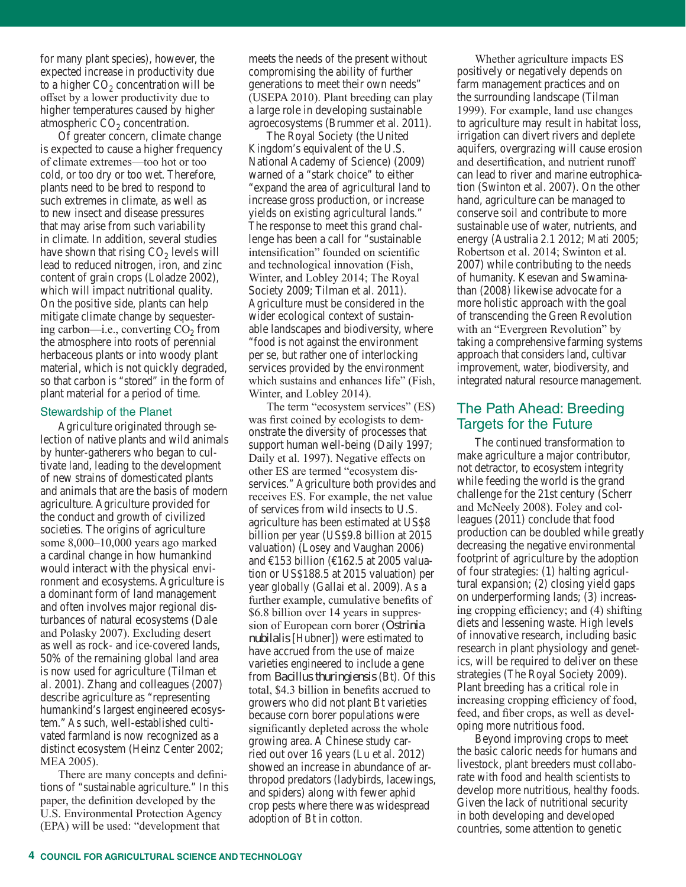for many plant species), however, the expected increase in productivity due to a higher  $CO<sub>2</sub>$  concentration will be offset by a lower productivity due to higher temperatures caused by higher atmospheric  $CO<sub>2</sub>$  concentration.

Of greater concern, climate change is expected to cause a higher frequency of climate extremes—too hot or too cold, or too dry or too wet. Therefore, plants need to be bred to respond to such extremes in climate, as well as to new insect and disease pressures that may arise from such variability in climate. In addition, several studies have shown that rising  $CO<sub>2</sub>$  levels will lead to reduced nitrogen, iron, and zinc content of grain crops (Loladze 2002), which will impact nutritional quality. On the positive side, plants can help mitigate climate change by sequestering carbon—i.e., converting  $CO<sub>2</sub>$  from the atmosphere into roots of perennial herbaceous plants or into woody plant material, which is not quickly degraded, so that carbon is "stored" in the form of plant material for a period of time.

#### Stewardship of the Planet

Agriculture originated through selection of native plants and wild animals by hunter-gatherers who began to cultivate land, leading to the development of new strains of domesticated plants and animals that are the basis of modern agriculture. Agriculture provided for the conduct and growth of civilized societies. The origins of agriculture some 8,000–10,000 years ago marked a cardinal change in how humankind would interact with the physical environment and ecosystems. Agriculture is a dominant form of land management and often involves major regional disturbances of natural ecosystems (Dale and Polasky 2007). Excluding desert as well as rock- and ice-covered lands, 50% of the remaining global land area is now used for agriculture (Tilman et al. 2001). Zhang and colleagues (2007) describe agriculture as "representing humankind's largest engineered ecosystem." As such, well-established cultivated farmland is now recognized as a distinct ecosystem (Heinz Center 2002; MEA 2005).

There are many concepts and definitions of "sustainable agriculture." In this paper, the definition developed by the U.S. Environmental Protection Agency (EPA) will be used: "development that

meets the needs of the present without compromising the ability of further generations to meet their own needs" (USEPA 2010). Plant breeding can play a large role in developing sustainable agroecosystems (Brummer et al. 2011).

The Royal Society (the United Kingdom's equivalent of the U.S. National Academy of Science) (2009) warned of a "stark choice" to either "expand the area of agricultural land to increase gross production, or increase yields on existing agricultural lands." The response to meet this grand challenge has been a call for "sustainable intensification" founded on scientific and technological innovation (Fish, Winter, and Lobley 2014; The Royal Society 2009; Tilman et al. 2011). Agriculture must be considered in the wider ecological context of sustainable landscapes and biodiversity, where "food is not against the environment per se, but rather one of interlocking services provided by the environment which sustains and enhances life" (Fish, Winter, and Lobley 2014).

The term "ecosystem services" (ES) was first coined by ecologists to demonstrate the diversity of processes that support human well-being (Daily 1997; Daily et al. 1997). Negative effects on other ES are termed "ecosystem disservices." Agriculture both provides and receives ES. For example, the net value of services from wild insects to U.S. agriculture has been estimated at US\$8 billion per year (US\$9.8 billion at 2015 valuation) (Losey and Vaughan 2006) and  $\text{E}153$  billion ( $\text{E}162.5$  at 2005 valuation or US\$188.5 at 2015 valuation) per year globally (Gallai et al. 2009). As a further example, cumulative benefits of \$6.8 billion over 14 years in suppression of European corn borer (*Ostrinia nubilalis* [Hubner]) were estimated to have accrued from the use of maize varieties engineered to include a gene from *Bacillus thuringiensis* (Bt). Of this total, \$4.3 billion in benefits accrued to growers who did not plant Bt varieties because corn borer populations were significantly depleted across the whole growing area. A Chinese study carried out over 16 years (Lu et al. 2012) showed an increase in abundance of arthropod predators (ladybirds, lacewings, and spiders) along with fewer aphid crop pests where there was widespread adoption of Bt in cotton.

Whether agriculture impacts ES positively or negatively depends on farm management practices and on the surrounding landscape (Tilman 1999). For example, land use changes to agriculture may result in habitat loss, irrigation can divert rivers and deplete aquifers, overgrazing will cause erosion and desertification, and nutrient runoff can lead to river and marine eutrophication (Swinton et al. 2007). On the other hand, agriculture can be managed to conserve soil and contribute to more sustainable use of water, nutrients, and energy (Australia 2.1 2012; Mati 2005; Robertson et al. 2014; Swinton et al. 2007) while contributing to the needs of humanity. Kesevan and Swaminathan (2008) likewise advocate for a more holistic approach with the goal of transcending the Green Revolution with an "Evergreen Revolution" by taking a comprehensive farming systems approach that considers land, cultivar improvement, water, biodiversity, and integrated natural resource management.

# The Path Ahead: Breeding Targets for the Future

The continued transformation to make agriculture a major contributor, not detractor, to ecosystem integrity while feeding the world is the grand challenge for the 21st century (Scherr and McNeely 2008). Foley and colleagues (2011) conclude that food production can be doubled while greatly decreasing the negative environmental footprint of agriculture by the adoption of four strategies: (1) halting agricultural expansion; (2) closing yield gaps on underperforming lands; (3) increasing cropping efficiency; and (4) shifting diets and lessening waste. High levels of innovative research, including basic research in plant physiology and genetics, will be required to deliver on these strategies (The Royal Society 2009). Plant breeding has a critical role in increasing cropping efficiency of food, feed, and fiber crops, as well as developing more nutritious food.

Beyond improving crops to meet the basic caloric needs for humans and livestock, plant breeders must collaborate with food and health scientists to develop more nutritious, healthy foods. Given the lack of nutritional security in both developing and developed countries, some attention to genetic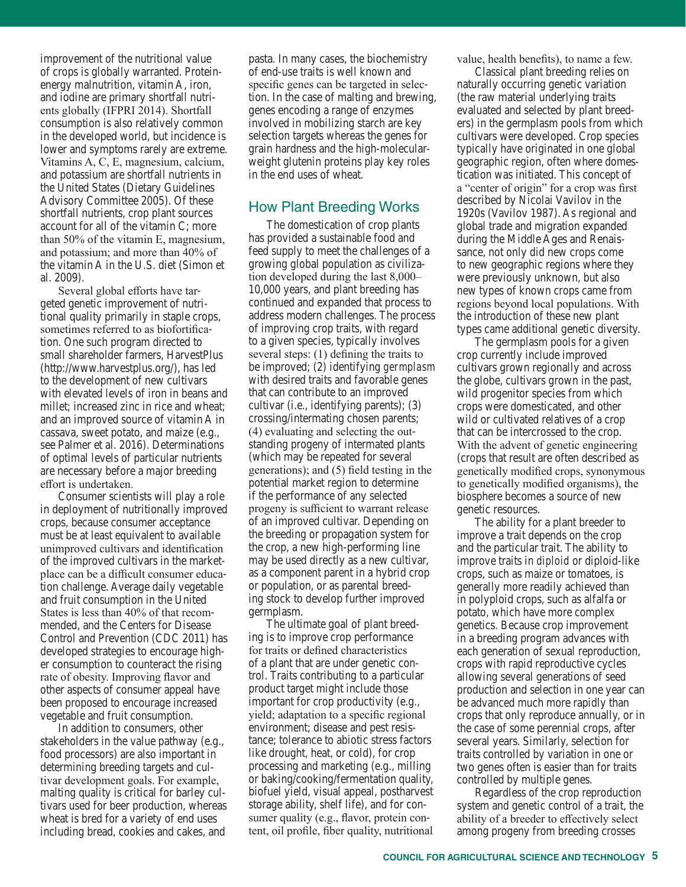improvement of the nutritional value of crops is globally warranted. Proteinenergy malnutrition, vitamin A, iron, and iodine are primary shortfall nutrients globally (IFPRI 2014). Shortfall consumption is also relatively common in the developed world, but incidence is lower and symptoms rarely are extreme. Vitamins A, C, E, magnesium, calcium, and potassium are shortfall nutrients in the United States (Dietary Guidelines Advisory Committee 2005). Of these shortfall nutrients, crop plant sources account for all of the vitamin C; more than 50% of the vitamin E, magnesium, and potassium; and more than 40% of the vitamin A in the U.S. diet (Simon et al. 2009).

Several global efforts have targeted genetic improvement of nutritional quality primarily in staple crops, sometimes referred to as biofortification. One such program directed to small shareholder farmers, HarvestPlus (http://www.harvestplus.org/), has led to the development of new cultivars with elevated levels of iron in beans and millet; increased zinc in rice and wheat; and an improved source of vitamin A in cassava, sweet potato, and maize (e.g., see Palmer et al. 2016). Determinations of optimal levels of particular nutrients are necessary before a major breeding effort is undertaken.

Consumer scientists will play a role in deployment of nutritionally improved crops, because consumer acceptance must be at least equivalent to available unimproved cultivars and identification of the improved cultivars in the marketplace can be a difficult consumer education challenge. Average daily vegetable and fruit consumption in the United States is less than 40% of that recommended, and the Centers for Disease Control and Prevention (CDC 2011) has developed strategies to encourage higher consumption to counteract the rising rate of obesity. Improving flavor and other aspects of consumer appeal have been proposed to encourage increased vegetable and fruit consumption.

In addition to consumers, other stakeholders in the value pathway (e.g., food processors) are also important in determining breeding targets and cultivar development goals. For example, malting quality is critical for barley cultivars used for beer production, whereas wheat is bred for a variety of end uses including bread, cookies and cakes, and

pasta. In many cases, the biochemistry of end-use traits is well known and specific genes can be targeted in selection. In the case of malting and brewing, genes encoding a range of enzymes involved in mobilizing starch are key selection targets whereas the genes for grain hardness and the high-molecularweight glutenin proteins play key roles in the end uses of wheat.

## How Plant Breeding Works

The domestication of crop plants has provided a sustainable food and feed supply to meet the challenges of a growing global population as civilization developed during the last 8,000– 10,000 years, and plant breeding has continued and expanded that process to address modern challenges. The process of improving crop traits, with regard to a given species, typically involves several steps: (1) defining the traits to be improved; (2) identifying *germplasm* with desired traits and favorable genes that can contribute to an improved cultivar (i.e., identifying parents); (3) crossing/intermating chosen parents; (4) evaluating and selecting the outstanding progeny of intermated plants (which may be repeated for several generations); and (5) field testing in the potential market region to determine if the performance of any selected progeny is sufficient to warrant release of an improved cultivar. Depending on the breeding or propagation system for the crop, a new high-performing line may be used directly as a new cultivar, as a component parent in a hybrid crop or population, or as parental breeding stock to develop further improved germplasm.

The ultimate goal of plant breeding is to improve crop performance for traits or defined characteristics of a plant that are under genetic control. Traits contributing to a particular product target might include those important for crop productivity (e.g., yield; adaptation to a specific regional environment; disease and pest resistance; tolerance to abiotic stress factors like drought, heat, or cold), for crop processing and marketing (e.g., milling or baking/cooking/fermentation quality, biofuel yield, visual appeal, postharvest storage ability, shelf life), and for consumer quality (e.g., flavor, protein content, oil profile, fiber quality, nutritional

value, health benefits), to name a few.

Classical plant breeding relies on naturally occurring genetic variation (the raw material underlying traits evaluated and selected by plant breeders) in the germplasm pools from which cultivars were developed. Crop species typically have originated in one global geographic region, often where domestication was initiated. This concept of a "center of origin" for a crop was first described by Nicolai Vavilov in the 1920s (Vavilov 1987). As regional and global trade and migration expanded during the Middle Ages and Renaissance, not only did new crops come to new geographic regions where they were previously unknown, but also new types of known crops came from regions beyond local populations. With the introduction of these new plant types came additional genetic diversity.

The germplasm pools for a given crop currently include improved cultivars grown regionally and across the globe, cultivars grown in the past, wild progenitor species from which crops were domesticated, and other wild or cultivated relatives of a crop that can be intercrossed to the crop. With the advent of genetic engineering (crops that result are often described as genetically modified crops, synonymous to genetically modified organisms), the biosphere becomes a source of new genetic resources.

The ability for a plant breeder to improve a trait depends on the crop and the particular trait. The ability to improve traits in *diploid* or diploid-like crops, such as maize or tomatoes, is generally more readily achieved than in polyploid crops, such as alfalfa or potato, which have more complex genetics. Because crop improvement in a breeding program advances with each generation of sexual reproduction, crops with rapid reproductive cycles allowing several generations of seed production and selection in one year can be advanced much more rapidly than crops that only reproduce annually, or in the case of some perennial crops, after several years. Similarly, selection for traits controlled by variation in one or two genes often is easier than for traits controlled by multiple genes.

Regardless of the crop reproduction system and genetic control of a trait, the ability of a breeder to effectively select among progeny from breeding crosses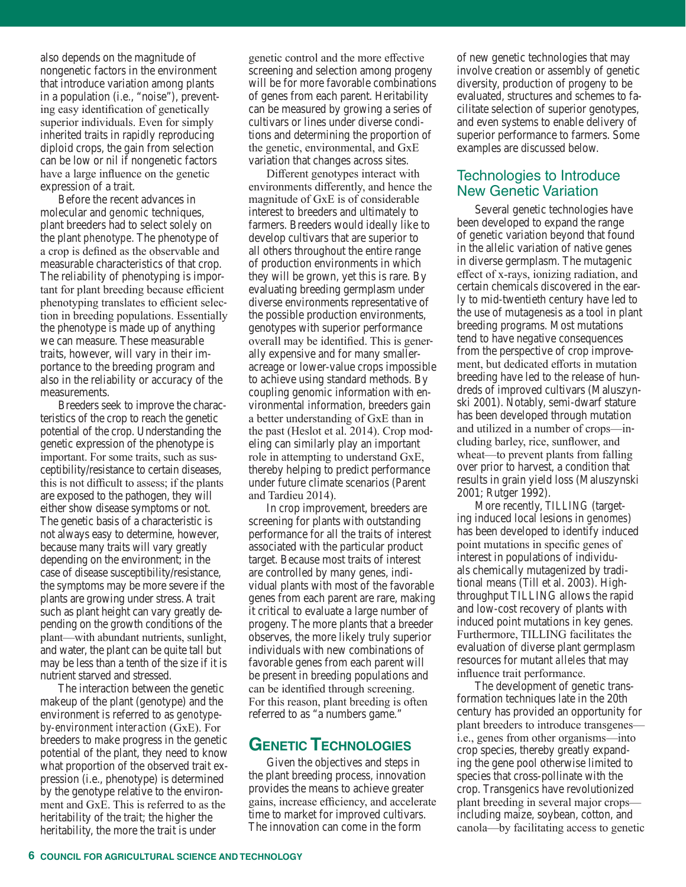also depends on the magnitude of nongenetic factors in the environment that introduce variation among plants in a population (i.e., "noise"), preventing easy identification of genetically superior individuals. Even for simply inherited traits in rapidly reproducing diploid crops, the gain from selection can be low or nil if nongenetic factors have a large influence on the genetic expression of a trait.

Before the recent advances in molecular and *genomic* techniques, plant breeders had to select solely on the plant *phenotype*. The phenotype of a crop is defined as the observable and measurable characteristics of that crop. The reliability of phenotyping is important for plant breeding because efficient phenotyping translates to efficient selection in breeding populations. Essentially the phenotype is made up of anything we can measure. These measurable traits, however, will vary in their importance to the breeding program and also in the reliability or accuracy of the measurements.

Breeders seek to improve the characteristics of the crop to reach the genetic potential of the crop. Understanding the genetic expression of the phenotype is important. For some traits, such as susceptibility/resistance to certain diseases, this is not difficult to assess; if the plants are exposed to the pathogen, they will either show disease symptoms or not. The genetic basis of a characteristic is not always easy to determine, however, because many traits will vary greatly depending on the environment; in the case of disease susceptibility/resistance, the symptoms may be more severe if the plants are growing under stress. A trait such as plant height can vary greatly depending on the growth conditions of the plant—with abundant nutrients, sunlight, and water, the plant can be quite tall but may be less than a tenth of the size if it is nutrient starved and stressed.

The interaction between the genetic makeup of the plant (genotype) and the environment is referred to as *genotypeby-environment interaction* (GxE). For breeders to make progress in the genetic potential of the plant, they need to know what proportion of the observed trait expression (i.e., phenotype) is determined by the genotype relative to the environment and GxE. This is referred to as the heritability of the trait; the higher the heritability, the more the trait is under

genetic control and the more effective screening and selection among progeny will be for more favorable combinations of genes from each parent. Heritability can be measured by growing a series of cultivars or lines under diverse conditions and determining the proportion of the genetic, environmental, and GxE variation that changes across sites.

Different genotypes interact with environments differently, and hence the magnitude of GxE is of considerable interest to breeders and ultimately to farmers. Breeders would ideally like to develop cultivars that are superior to all others throughout the entire range of production environments in which they will be grown, yet this is rare. By evaluating breeding germplasm under diverse environments representative of the possible production environments, genotypes with superior performance overall may be identified. This is generally expensive and for many smalleracreage or lower-value crops impossible to achieve using standard methods. By coupling genomic information with environmental information, breeders gain a better understanding of GxE than in the past (Heslot et al. 2014). Crop modeling can similarly play an important role in attempting to understand GxE, thereby helping to predict performance under future climate scenarios (Parent and Tardieu 2014).

In crop improvement, breeders are screening for plants with outstanding performance for all the traits of interest associated with the particular product target. Because most traits of interest are controlled by many genes, individual plants with most of the favorable genes from each parent are rare, making it critical to evaluate a large number of progeny. The more plants that a breeder observes, the more likely truly superior individuals with new combinations of favorable genes from each parent will be present in breeding populations and can be identified through screening. For this reason, plant breeding is often referred to as "a numbers game."

# **GENETIC TECHNOLOGIES**

Given the objectives and steps in the plant breeding process, innovation provides the means to achieve greater gains, increase efficiency, and accelerate time to market for improved cultivars. The innovation can come in the form

of new genetic technologies that may involve creation or assembly of genetic diversity, production of progeny to be evaluated, structures and schemes to facilitate selection of superior genotypes, and even systems to enable delivery of superior performance to farmers. Some examples are discussed below.

# Technologies to Introduce New Genetic Variation

Several genetic technologies have been developed to expand the range of genetic variation beyond that found in the allelic variation of native genes in diverse germplasm. The mutagenic effect of x-rays, ionizing radiation, and certain chemicals discovered in the early to mid-twentieth century have led to the use of mutagenesis as a tool in plant breeding programs. Most mutations tend to have negative consequences from the perspective of crop improvement, but dedicated efforts in mutation breeding have led to the release of hundreds of improved cultivars (Maluszynski 2001). Notably, semi-dwarf stature has been developed through mutation and utilized in a number of crops—including barley, rice, sunflower, and wheat—to prevent plants from falling over prior to harvest, a condition that results in grain yield loss (Maluszynski 2001; Rutger 1992).

More recently, *TILLING* (targeting induced local lesions in *genomes*) has been developed to identify induced point mutations in specific genes of interest in populations of individuals chemically mutagenized by traditional means (Till et al. 2003). Highthroughput TILLING allows the rapid and low-cost recovery of plants with induced point mutations in key genes. Furthermore, TILLING facilitates the evaluation of diverse plant germplasm resources for mutant *alleles* that may influence trait performance.

The development of genetic transformation techniques late in the 20th century has provided an opportunity for plant breeders to introduce transgenes i.e., genes from other organisms—into crop species, thereby greatly expanding the gene pool otherwise limited to species that cross-pollinate with the crop. Transgenics have revolutionized plant breeding in several major crops including maize, soybean, cotton, and canola—by facilitating access to genetic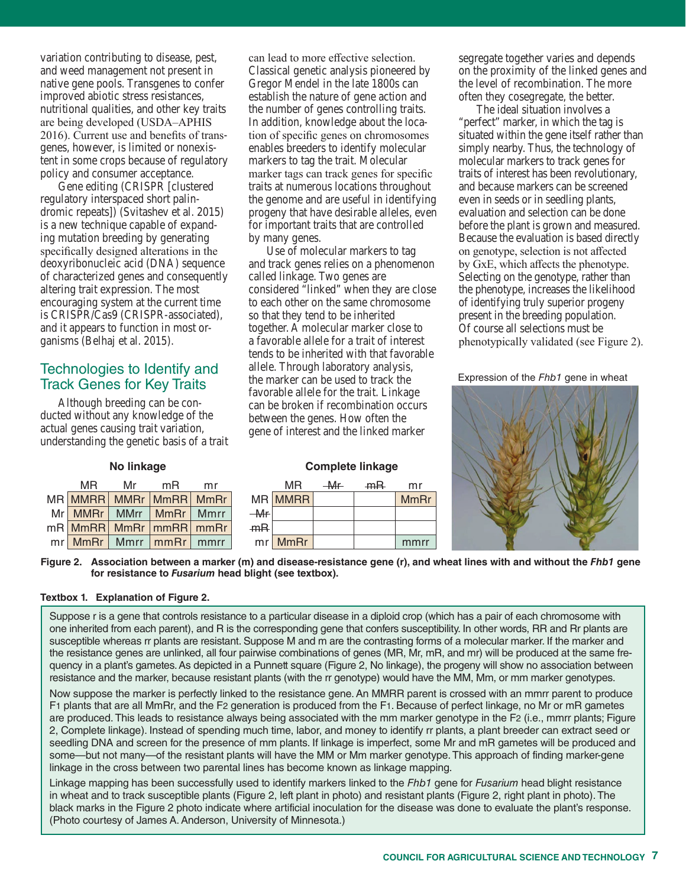variation contributing to disease, pest, and weed management not present in native gene pools. Transgenes to confer improved abiotic stress resistances, nutritional qualities, and other key traits are being developed (USDA–APHIS 2016). Current use and benefits of transgenes, however, is limited or nonexistent in some crops because of regulatory policy and consumer acceptance.

Gene editing (CRISPR [clustered regulatory interspaced short palindromic repeats]) (Svitashev et al. 2015) is a new technique capable of expanding mutation breeding by generating specifically designed alterations in the deoxyribonucleic acid (DNA) sequence of characterized genes and consequently altering trait expression. The most encouraging system at the current time is CRISPR/Cas9 (CRISPR-associated), and it appears to function in most organisms (Belhaj et al. 2015).

# Technologies to Identify and Track Genes for Key Traits

Although breeding can be conducted without any knowledge of the actual genes causing trait variation, understanding the genetic basis of a trait can lead to more effective selection. Classical genetic analysis pioneered by Gregor Mendel in the late 1800s can establish the nature of gene action and the number of genes controlling traits. In addition, knowledge about the location of specific genes on chromosomes enables breeders to identify molecular markers to tag the trait. Molecular marker tags can track genes for specific traits at numerous locations throughout the genome and are useful in identifying progeny that have desirable alleles, even for important traits that are controlled by many genes.

Use of molecular markers to tag and track genes relies on a phenomenon called linkage. Two genes are considered "linked" when they are close to each other on the same chromosome so that they tend to be inherited together. A molecular marker close to a favorable allele for a trait of interest tends to be inherited with that favorable allele. Through laboratory analysis, the marker can be used to track the favorable allele for the trait. Linkage can be broken if recombination occurs between the genes. How often the gene of interest and the linked marker

segregate together varies and depends on the proximity of the linked genes and the level of recombination. The more often they cosegregate, the better.

The ideal situation involves a "perfect" marker, in which the tag is situated within the gene itself rather than simply nearby. Thus, the technology of molecular markers to track genes for traits of interest has been revolutionary, and because markers can be screened even in seeds or in seedling plants, evaluation and selection can be done before the plant is grown and measured. Because the evaluation is based directly on genotype, selection is not affected by GxE, which affects the phenotype. Selecting on the genotype, rather than the phenotype, increases the likelihood of identifying truly superior progeny present in the breeding population. Of course all selections must be phenotypically validated (see Figure 2).

Expression of the *Fhb1* gene in wheat



| MR | Mr | mR                           | mr |
|----|----|------------------------------|----|
|    |    | MR MMRR MMRr MmRR MmRr       |    |
|    |    | Mr MMRr   MMrr   MmRr   Mmrr |    |
|    |    | mR MmRR MmRr   mmRR   mmRr   |    |
|    |    | mr MmRr   Mmrr   mmRr   mmrr |    |

# No linkage **Southern Complete** linkage

|    | MR          | $-Mr$ | mR | mr          |
|----|-------------|-------|----|-------------|
|    | MR MMRR     |       |    | <b>MmRr</b> |
| Mr |             |       |    |             |
| mR |             |       |    |             |
| mr | <b>MmRr</b> |       |    | mmrr        |

Figure 2. Association between a marker (m) and disease-resistance gene (r), and wheat lines with and without the *Fhb1* gene **for resistance to** *Fusarium* **head blight (see textbox).**

### **Textbox 1. Explanation of Figure 2.**

Suppose r is a gene that controls resistance to a particular disease in a diploid crop (which has a pair of each chromosome with one inherited from each parent), and R is the corresponding gene that confers susceptibility. In other words, RR and Rr plants are susceptible whereas rr plants are resistant. Suppose M and m are the contrasting forms of a molecular marker. If the marker and the resistance genes are unlinked, all four pairwise combinations of genes (MR, Mr, mR, and mr) will be produced at the same frequency in a plant's gametes. As depicted in a Punnett square (Figure 2, No linkage), the progeny will show no association between resistance and the marker, because resistant plants (with the rr genotype) would have the MM, Mm, or mm marker genotypes.

Now suppose the marker is perfectly linked to the resistance gene. An MMRR parent is crossed with an mmrr parent to produce F1 plants that are all MmRr, and the F2 generation is produced from the F1. Because of perfect linkage, no Mr or mR gametes are produced. This leads to resistance always being associated with the mm marker genotype in the F2 (i.e., mmrr plants; Figure 2, Complete linkage). Instead of spending much time, labor, and money to identify rr plants, a plant breeder can extract seed or seedling DNA and screen for the presence of mm plants. If linkage is imperfect, some Mr and mR gametes will be produced and some—but not many—of the resistant plants will have the MM or Mm marker genotype. This approach of finding marker-gene linkage in the cross between two parental lines has become known as linkage mapping.

Linkage mapping has been successfully used to identify markers linked to the *Fhb1* gene for *Fusarium* head blight resistance in wheat and to track susceptible plants (Figure 2, left plant in photo) and resistant plants (Figure 2, right plant in photo). The black marks in the Figure 2 photo indicate where artificial inoculation for the disease was done to evaluate the plant's response. (Photo courtesy of James A. Anderson, University of Minnesota.)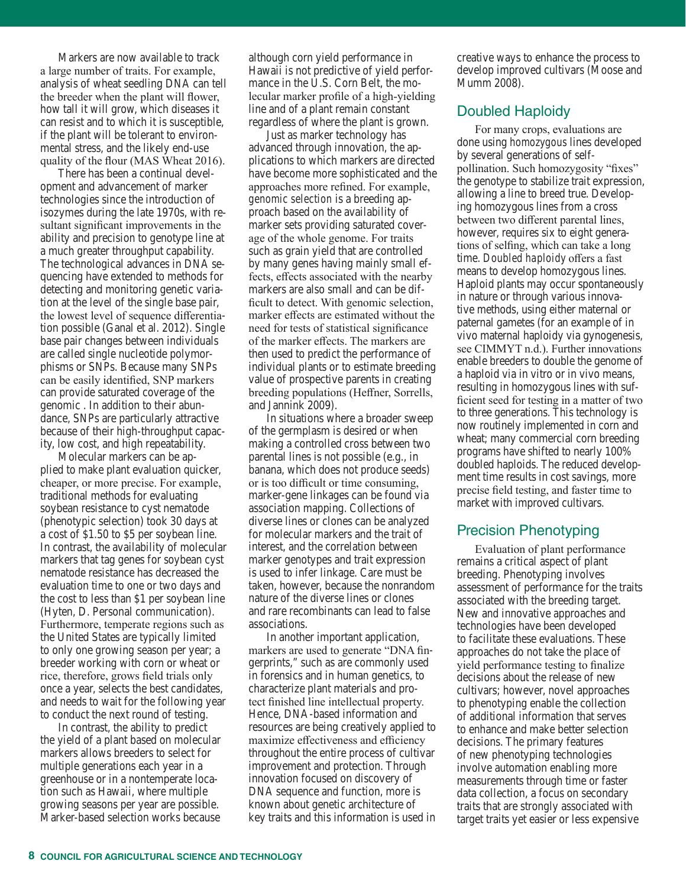Markers are now available to track a large number of traits. For example, analysis of wheat seedling DNA can tell the breeder when the plant will flower, how tall it will grow, which diseases it can resist and to which it is susceptible, if the plant will be tolerant to environmental stress, and the likely end-use quality of the flour (MAS Wheat 2016).

There has been a continual development and advancement of marker technologies since the introduction of isozymes during the late 1970s, with resultant significant improvements in the ability and precision to genotype line at a much greater throughput capability. The technological advances in DNA sequencing have extended to methods for detecting and monitoring genetic variation at the level of the single base pair, the lowest level of sequence differentiation possible (Ganal et al. 2012). Single base pair changes between individuals are called single nucleotide polymorphisms or SNPs. Because many SNPs can be easily identified, SNP markers can provide saturated coverage of the genomic . In addition to their abundance, SNPs are particularly attractive because of their high-throughput capacity, low cost, and high repeatability.

Molecular markers can be applied to make plant evaluation quicker, cheaper, or more precise. For example, traditional methods for evaluating soybean resistance to cyst nematode (phenotypic selection) took 30 days at a cost of \$1.50 to \$5 per soybean line. In contrast, the availability of molecular markers that tag genes for soybean cyst nematode resistance has decreased the evaluation time to one or two days and the cost to less than \$1 per soybean line (Hyten, D. Personal communication). Furthermore, temperate regions such as the United States are typically limited to only one growing season per year; a breeder working with corn or wheat or rice, therefore, grows field trials only once a year, selects the best candidates, and needs to wait for the following year to conduct the next round of testing.

In contrast, the ability to predict the yield of a plant based on molecular markers allows breeders to select for multiple generations each year in a greenhouse or in a nontemperate location such as Hawaii, where multiple growing seasons per year are possible. Marker-based selection works because

although corn yield performance in Hawaii is not predictive of yield performance in the U.S. Corn Belt, the molecular marker profile of a high-yielding line and of a plant remain constant regardless of where the plant is grown.

Just as marker technology has advanced through innovation, the applications to which markers are directed have become more sophisticated and the approaches more refined. For example, *genomic selection* is a breeding approach based on the availability of marker sets providing saturated coverage of the whole genome. For traits such as grain yield that are controlled by many genes having mainly small effects, effects associated with the nearby markers are also small and can be difficult to detect. With genomic selection, marker effects are estimated without the need for tests of statistical significance of the marker effects. The markers are then used to predict the performance of individual plants or to estimate breeding value of prospective parents in creating breeding populations (Heffner, Sorrells, and Jannink 2009).

In situations where a broader sweep of the germplasm is desired or when making a controlled cross between two parental lines is not possible (e.g., in banana, which does not produce seeds) or is too difficult or time consuming, marker-gene linkages can be found via association mapping. Collections of diverse lines or clones can be analyzed for molecular markers and the trait of interest, and the correlation between marker genotypes and trait expression is used to infer linkage. Care must be taken, however, because the nonrandom nature of the diverse lines or clones and rare recombinants can lead to false associations.

In another important application, markers are used to generate "DNA fingerprints," such as are commonly used in forensics and in human genetics, to characterize plant materials and protect finished line intellectual property. Hence, DNA-based information and resources are being creatively applied to maximize effectiveness and efficiency throughout the entire process of cultivar improvement and protection. Through innovation focused on discovery of DNA sequence and function, more is known about genetic architecture of key traits and this information is used in creative ways to enhance the process to develop improved cultivars (Moose and Mumm 2008).

## Doubled Haploidy

For many crops, evaluations are done using *homozygous* lines developed by several generations of selfpollination. Such homozygosity "fixes" the genotype to stabilize trait expression, allowing a line to breed true. Developing homozygous lines from a cross between two different parental lines, however, requires six to eight generations of selfing, which can take a long time. *Doubled haploidy* offers a fast means to develop homozygous lines. Haploid plants may occur spontaneously in nature or through various innovative methods, using either maternal or paternal gametes (for an example of in vivo maternal haploidy via gynogenesis, see CIMMYT n.d.). Further innovations enable breeders to double the genome of a haploid via in vitro or in vivo means, resulting in homozygous lines with sufficient seed for testing in a matter of two to three generations. This technology is now routinely implemented in corn and wheat; many commercial corn breeding programs have shifted to nearly 100% doubled haploids. The reduced development time results in cost savings, more precise field testing, and faster time to market with improved cultivars.

# Precision Phenotyping

Evaluation of plant performance remains a critical aspect of plant breeding. Phenotyping involves assessment of performance for the traits associated with the breeding target. New and innovative approaches and technologies have been developed to facilitate these evaluations. These approaches do not take the place of yield performance testing to finalize decisions about the release of new cultivars; however, novel approaches to phenotyping enable the collection of additional information that serves to enhance and make better selection decisions. The primary features of new phenotyping technologies involve automation enabling more measurements through time or faster data collection, a focus on secondary traits that are strongly associated with target traits yet easier or less expensive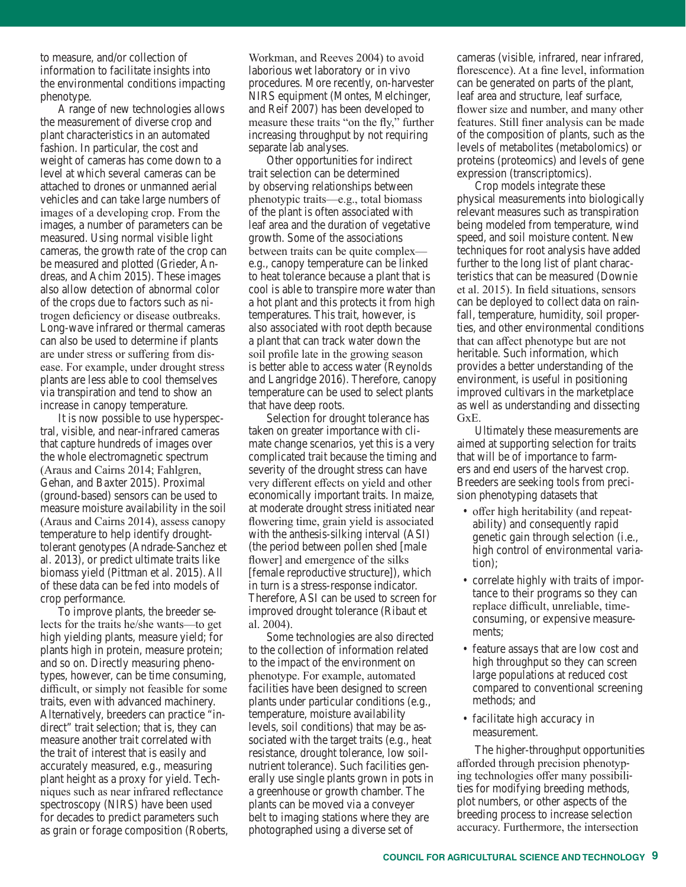to measure, and/or collection of information to facilitate insights into the environmental conditions impacting phenotype.

A range of new technologies allows the measurement of diverse crop and plant characteristics in an automated fashion. In particular, the cost and weight of cameras has come down to a level at which several cameras can be attached to drones or unmanned aerial vehicles and can take large numbers of images of a developing crop. From the images, a number of parameters can be measured. Using normal visible light cameras, the growth rate of the crop can be measured and plotted (Grieder, Andreas, and Achim 2015). These images also allow detection of abnormal color of the crops due to factors such as nitrogen deficiency or disease outbreaks. Long-wave infrared or thermal cameras can also be used to determine if plants are under stress or suffering from disease. For example, under drought stress plants are less able to cool themselves via transpiration and tend to show an increase in canopy temperature.

It is now possible to use hyperspectral, visible, and near-infrared cameras that capture hundreds of images over the whole electromagnetic spectrum (Araus and Cairns 2014; Fahlgren, Gehan, and Baxter 2015). Proximal (ground-based) sensors can be used to measure moisture availability in the soil (Araus and Cairns 2014), assess canopy temperature to help identify droughttolerant genotypes (Andrade-Sanchez et al. 2013), or predict ultimate traits like biomass yield (Pittman et al. 2015). All of these data can be fed into models of crop performance.

To improve plants, the breeder selects for the traits he/she wants—to get high yielding plants, measure yield; for plants high in protein, measure protein; and so on. Directly measuring phenotypes, however, can be time consuming, difficult, or simply not feasible for some traits, even with advanced machinery. Alternatively, breeders can practice "indirect" trait selection; that is, they can measure another trait correlated with the trait of interest that is easily and accurately measured, e.g., measuring plant height as a proxy for yield. Techniques such as near infrared reflectance spectroscopy (NIRS) have been used for decades to predict parameters such as grain or forage composition (Roberts,

Workman, and Reeves 2004) to avoid laborious wet laboratory or in vivo procedures. More recently, on-harvester NIRS equipment (Montes, Melchinger, and Reif 2007) has been developed to measure these traits "on the fly," further increasing throughput by not requiring separate lab analyses.

Other opportunities for indirect trait selection can be determined by observing relationships between phenotypic traits—e.g., total biomass of the plant is often associated with leaf area and the duration of vegetative growth. Some of the associations between traits can be quite complex e.g., canopy temperature can be linked to heat tolerance because a plant that is cool is able to transpire more water than a hot plant and this protects it from high temperatures. This trait, however, is also associated with root depth because a plant that can track water down the soil profile late in the growing season is better able to access water (Reynolds and Langridge 2016). Therefore, canopy temperature can be used to select plants that have deep roots.

Selection for drought tolerance has taken on greater importance with climate change scenarios, yet this is a very complicated trait because the timing and severity of the drought stress can have very different effects on yield and other economically important traits. In maize, at moderate drought stress initiated near flowering time, grain yield is associated with the anthesis-silking interval (ASI) (the period between pollen shed [male flower] and emergence of the silks [female reproductive structure]), which in turn is a stress-response indicator. Therefore, ASI can be used to screen for improved drought tolerance (Ribaut et al. 2004).

Some technologies are also directed to the collection of information related to the impact of the environment on phenotype. For example, automated facilities have been designed to screen plants under particular conditions (e.g., temperature, moisture availability levels, soil conditions) that may be associated with the target traits (e.g., heat resistance, drought tolerance, low soilnutrient tolerance). Such facilities generally use single plants grown in pots in a greenhouse or growth chamber. The plants can be moved via a conveyer belt to imaging stations where they are photographed using a diverse set of

cameras (visible, infrared, near infrared, florescence). At a fine level, information can be generated on parts of the plant, leaf area and structure, leaf surface, flower size and number, and many other features. Still finer analysis can be made of the composition of plants, such as the levels of metabolites (metabolomics) or proteins (proteomics) and levels of gene expression (transcriptomics).

Crop models integrate these physical measurements into biologically relevant measures such as transpiration being modeled from temperature, wind speed, and soil moisture content. New techniques for root analysis have added further to the long list of plant characteristics that can be measured (Downie et al. 2015). In field situations, sensors can be deployed to collect data on rainfall, temperature, humidity, soil properties, and other environmental conditions that can affect phenotype but are not heritable. Such information, which provides a better understanding of the environment, is useful in positioning improved cultivars in the marketplace as well as understanding and dissecting GxE.

Ultimately these measurements are aimed at supporting selection for traits that will be of importance to farmers and end users of the harvest crop. Breeders are seeking tools from precision phenotyping datasets that

- offer high heritability (and repeatability) and consequently rapid genetic gain through selection (i.e., high control of environmental variation);
- correlate highly with traits of importance to their programs so they can replace difficult, unreliable, timeconsuming, or expensive measurements;
- feature assays that are low cost and high throughput so they can screen large populations at reduced cost compared to conventional screening methods; and
- facilitate high accuracy in measurement.

The higher-throughput opportunities afforded through precision phenotyping technologies offer many possibilities for modifying breeding methods, plot numbers, or other aspects of the breeding process to increase selection accuracy. Furthermore, the intersection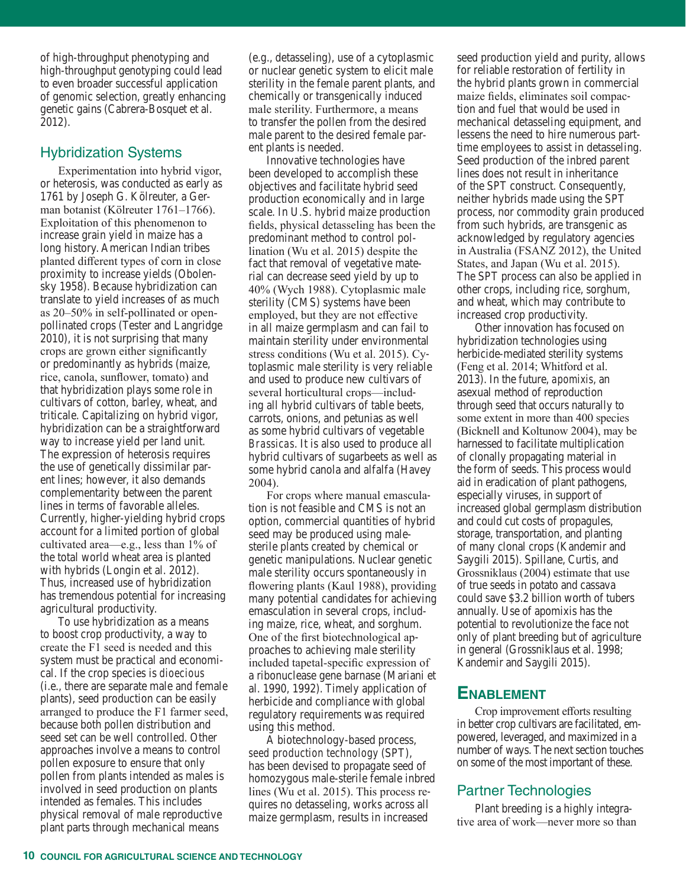of high-throughput phenotyping and high-throughput genotyping could lead to even broader successful application of genomic selection, greatly enhancing genetic gains (Cabrera-Bosquet et al. 2012).

# Hybridization Systems

Experimentation into hybrid vigor, or heterosis, was conducted as early as 1761 by Joseph G. Kölreuter, a German botanist (Kölreuter 1761–1766). Exploitation of this phenomenon to increase grain yield in maize has a long history. American Indian tribes planted different types of corn in close proximity to increase yields (Obolensky 1958). Because hybridization can translate to yield increases of as much as 20–50% in self-pollinated or openpollinated crops (Tester and Langridge 2010), it is not surprising that many crops are grown either significantly or predominantly as hybrids (maize, rice, canola, sunflower, tomato) and that hybridization plays some role in cultivars of cotton, barley, wheat, and triticale. Capitalizing on hybrid vigor, hybridization can be a straightforward way to increase yield per land unit. The expression of heterosis requires the use of genetically dissimilar parent lines; however, it also demands complementarity between the parent lines in terms of favorable alleles. Currently, higher-yielding hybrid crops account for a limited portion of global cultivated area—e.g., less than 1% of the total world wheat area is planted with hybrids (Longin et al. 2012). Thus, increased use of hybridization has tremendous potential for increasing agricultural productivity.

To use hybridization as a means to boost crop productivity, a way to create the F1 seed is needed and this system must be practical and economical. If the crop species is *dioecious* (i.e., there are separate male and female plants), seed production can be easily arranged to produce the F1 farmer seed, because both pollen distribution and seed set can be well controlled. Other approaches involve a means to control pollen exposure to ensure that only pollen from plants intended as males is involved in seed production on plants intended as females. This includes physical removal of male reproductive plant parts through mechanical means

(e.g., detasseling), use of a cytoplasmic or nuclear genetic system to elicit male sterility in the female parent plants, and chemically or transgenically induced male sterility. Furthermore, a means to transfer the pollen from the desired male parent to the desired female parent plants is needed.

Innovative technologies have been developed to accomplish these objectives and facilitate hybrid seed production economically and in large scale. In U.S. hybrid maize production fields, physical detasseling has been the predominant method to control pollination (Wu et al. 2015) despite the fact that removal of vegetative material can decrease seed yield by up to 40% (Wych 1988). Cytoplasmic male sterility (CMS) systems have been employed, but they are not effective in all maize germplasm and can fail to maintain sterility under environmental stress conditions (Wu et al. 2015). Cytoplasmic male sterility is very reliable and used to produce new cultivars of several horticultural crops—including all hybrid cultivars of table beets, carrots, onions, and petunias as well as some hybrid cultivars of vegetable *Brassicas*. It is also used to produce all hybrid cultivars of sugarbeets as well as some hybrid canola and alfalfa (Havey 2004).

For crops where manual emasculation is not feasible and CMS is not an option, commercial quantities of hybrid seed may be produced using malesterile plants created by chemical or genetic manipulations. Nuclear genetic male sterility occurs spontaneously in flowering plants (Kaul 1988), providing many potential candidates for achieving emasculation in several crops, including maize, rice, wheat, and sorghum. One of the first biotechnological approaches to achieving male sterility included tapetal-specific expression of a ribonuclease gene barnase (Mariani et al. 1990, 1992). Timely application of herbicide and compliance with global regulatory requirements was required using this method.

A biotechnology-based process, *seed production technology* (SPT), has been devised to propagate seed of homozygous male-sterile female inbred lines (Wu et al. 2015). This process requires no detasseling, works across all maize germplasm, results in increased

seed production yield and purity, allows for reliable restoration of fertility in the hybrid plants grown in commercial maize fields, eliminates soil compaction and fuel that would be used in mechanical detasseling equipment, and lessens the need to hire numerous parttime employees to assist in detasseling. Seed production of the inbred parent lines does not result in inheritance of the SPT construct. Consequently, neither hybrids made using the SPT process, nor commodity grain produced from such hybrids, are transgenic as acknowledged by regulatory agencies in Australia (FSANZ 2012), the United States, and Japan (Wu et al. 2015). The SPT process can also be applied in other crops, including rice, sorghum, and wheat, which may contribute to increased crop productivity.

Other innovation has focused on hybridization technologies using herbicide-mediated sterility systems (Feng et al. 2014; Whitford et al. 2013). In the future, *apomixis*, an asexual method of reproduction through seed that occurs naturally to some extent in more than 400 species (Bicknell and Koltunow 2004), may be harnessed to facilitate multiplication of clonally propagating material in the form of seeds. This process would aid in eradication of plant pathogens, especially viruses, in support of increased global germplasm distribution and could cut costs of propagules, storage, transportation, and planting of many clonal crops (Kandemir and Saygili 2015). Spillane, Curtis, and Grossniklaus (2004) estimate that use of true seeds in potato and cassava could save \$3.2 billion worth of tubers annually. Use of apomixis has the potential to revolutionize the face not only of plant breeding but of agriculture in general (Grossniklaus et al. 1998; Kandemir and Saygili 2015).

# **ENABLEMENT**

Crop improvement efforts resulting in better crop cultivars are facilitated, empowered, leveraged, and maximized in a number of ways. The next section touches on some of the most important of these.

# Partner Technologies

Plant breeding is a highly integrative area of work—never more so than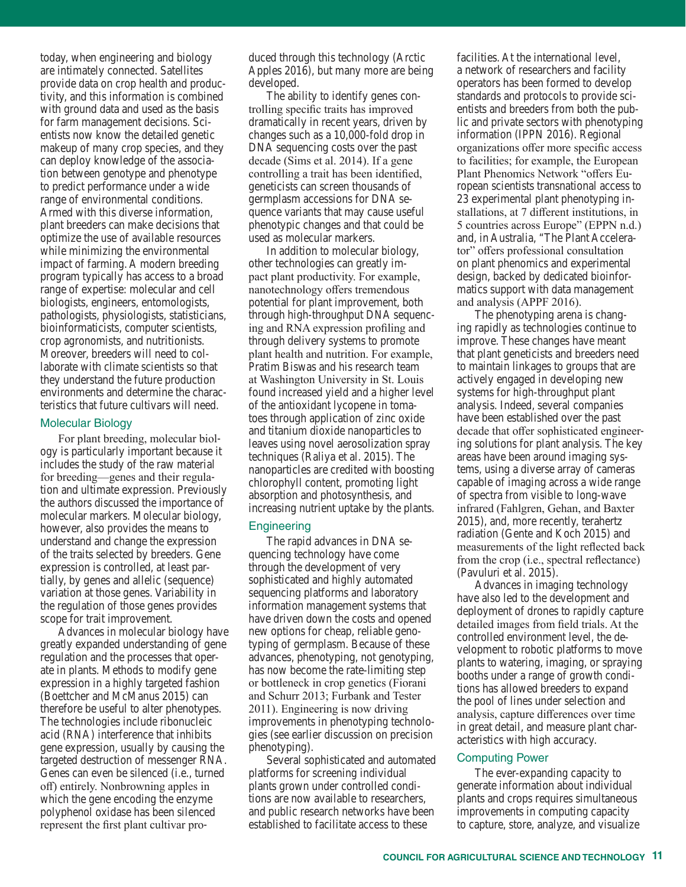today, when engineering and biology are intimately connected. Satellites provide data on crop health and productivity, and this information is combined with ground data and used as the basis for farm management decisions. Scientists now know the detailed genetic makeup of many crop species, and they can deploy knowledge of the association between genotype and phenotype to predict performance under a wide range of environmental conditions. Armed with this diverse information, plant breeders can make decisions that optimize the use of available resources while minimizing the environmental impact of farming. A modern breeding program typically has access to a broad range of expertise: molecular and cell biologists, engineers, entomologists, pathologists, physiologists, statisticians, bioinformaticists, computer scientists, crop agronomists, and nutritionists. Moreover, breeders will need to collaborate with climate scientists so that they understand the future production environments and determine the characteristics that future cultivars will need.

#### Molecular Biology

For plant breeding, molecular biology is particularly important because it includes the study of the raw material for breeding—genes and their regulation and ultimate expression. Previously the authors discussed the importance of molecular markers. Molecular biology, however, also provides the means to understand and change the expression of the traits selected by breeders. Gene expression is controlled, at least partially, by genes and allelic (sequence) variation at those genes. Variability in the regulation of those genes provides scope for trait improvement.

Advances in molecular biology have greatly expanded understanding of gene regulation and the processes that operate in plants. Methods to modify gene expression in a highly targeted fashion (Boettcher and McManus 2015) can therefore be useful to alter phenotypes. The technologies include ribonucleic acid (RNA) interference that inhibits gene expression, usually by causing the targeted destruction of messenger RNA. Genes can even be silenced (i.e., turned off) entirely. Nonbrowning apples in which the gene encoding the enzyme polyphenol oxidase has been silenced represent the first plant cultivar pro-

duced through this technology (Arctic Apples 2016), but many more are being developed.

The ability to identify genes controlling specific traits has improved dramatically in recent years, driven by changes such as a 10,000-fold drop in DNA sequencing costs over the past decade (Sims et al. 2014). If a gene controlling a trait has been identified, geneticists can screen thousands of germplasm accessions for DNA sequence variants that may cause useful phenotypic changes and that could be used as molecular markers.

In addition to molecular biology, other technologies can greatly impact plant productivity. For example, nanotechnology offers tremendous potential for plant improvement, both through high-throughput DNA sequencing and RNA expression profiling and through delivery systems to promote plant health and nutrition. For example, Pratim Biswas and his research team at Washington University in St. Louis found increased yield and a higher level of the antioxidant lycopene in tomatoes through application of zinc oxide and titanium dioxide nanoparticles to leaves using novel aerosolization spray techniques (Raliya et al. 2015). The nanoparticles are credited with boosting chlorophyll content, promoting light absorption and photosynthesis, and increasing nutrient uptake by the plants.

#### **Engineering**

The rapid advances in DNA sequencing technology have come through the development of very sophisticated and highly automated sequencing platforms and laboratory information management systems that have driven down the costs and opened new options for cheap, reliable genotyping of germplasm. Because of these advances, phenotyping, not genotyping, has now become the rate-limiting step or bottleneck in crop genetics (Fiorani and Schurr 2013; Furbank and Tester 2011). Engineering is now driving improvements in phenotyping technologies (see earlier discussion on precision phenotyping).

Several sophisticated and automated platforms for screening individual plants grown under controlled conditions are now available to researchers, and public research networks have been established to facilitate access to these

facilities. At the international level, a network of researchers and facility operators has been formed to develop standards and protocols to provide scientists and breeders from both the public and private sectors with phenotyping information (IPPN 2016). Regional organizations offer more specific access to facilities; for example, the European Plant Phenomics Network "offers European scientists transnational access to 23 experimental plant phenotyping installations, at 7 different institutions, in 5 countries across Europe" (EPPN n.d.) and, in Australia, "The Plant Accelerator" offers professional consultation on plant phenomics and experimental design, backed by dedicated bioinformatics support with data management and analysis (APPF 2016).

The phenotyping arena is changing rapidly as technologies continue to improve. These changes have meant that plant geneticists and breeders need to maintain linkages to groups that are actively engaged in developing new systems for high-throughput plant analysis. Indeed, several companies have been established over the past decade that offer sophisticated engineering solutions for plant analysis. The key areas have been around imaging systems, using a diverse array of cameras capable of imaging across a wide range of spectra from visible to long-wave infrared (Fahlgren, Gehan, and Baxter 2015), and, more recently, terahertz radiation (Gente and Koch 2015) and measurements of the light reflected back from the crop (i.e., spectral reflectance) (Pavuluri et al. 2015).

Advances in imaging technology have also led to the development and deployment of drones to rapidly capture detailed images from field trials. At the controlled environment level, the development to robotic platforms to move plants to watering, imaging, or spraying booths under a range of growth conditions has allowed breeders to expand the pool of lines under selection and analysis, capture differences over time in great detail, and measure plant characteristics with high accuracy.

#### Computing Power

The ever-expanding capacity to generate information about individual plants and crops requires simultaneous improvements in computing capacity to capture, store, analyze, and visualize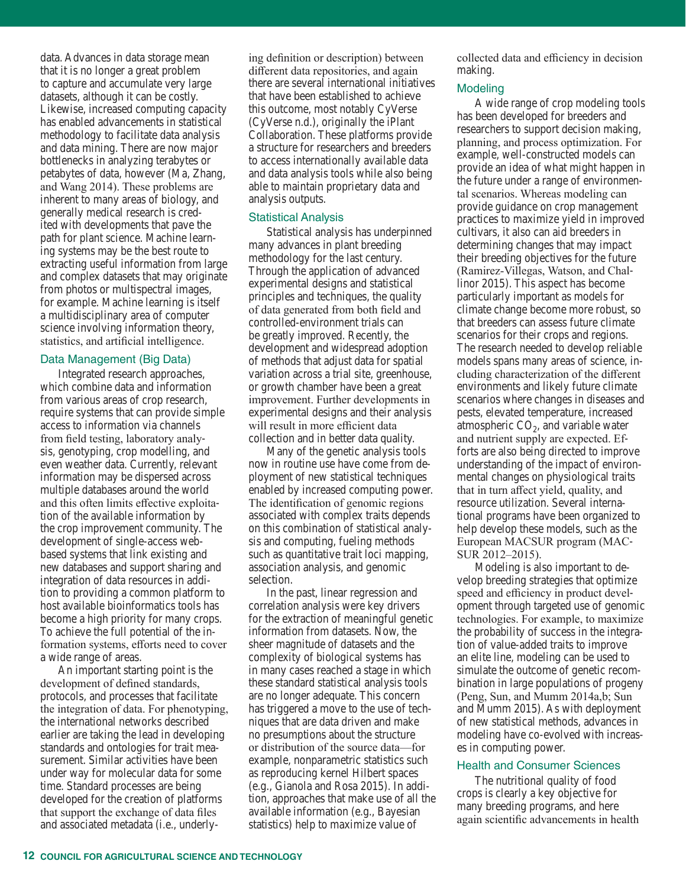data. Advances in data storage mean that it is no longer a great problem to capture and accumulate very large datasets, although it can be costly. Likewise, increased computing capacity has enabled advancements in statistical methodology to facilitate data analysis and data mining. There are now major bottlenecks in analyzing terabytes or petabytes of data, however (Ma, Zhang, and Wang 2014). These problems are inherent to many areas of biology, and generally medical research is credited with developments that pave the path for plant science. Machine learning systems may be the best route to extracting useful information from large and complex datasets that may originate from photos or multispectral images, for example. Machine learning is itself a multidisciplinary area of computer science involving information theory, statistics, and artificial intelligence.

#### Data Management (Big Data)

Integrated research approaches, which combine data and information from various areas of crop research, require systems that can provide simple access to information via channels from field testing, laboratory analysis, genotyping, crop modelling, and even weather data. Currently, relevant information may be dispersed across multiple databases around the world and this often limits effective exploitation of the available information by the crop improvement community. The development of single-access webbased systems that link existing and new databases and support sharing and integration of data resources in addition to providing a common platform to host available bioinformatics tools has become a high priority for many crops. To achieve the full potential of the information systems, efforts need to cover a wide range of areas.

An important starting point is the development of defined standards, protocols, and processes that facilitate the integration of data. For phenotyping, the international networks described earlier are taking the lead in developing standards and ontologies for trait measurement. Similar activities have been under way for molecular data for some time. Standard processes are being developed for the creation of platforms that support the exchange of data files and associated metadata (i.e., underly-

ing definition or description) between different data repositories, and again there are several international initiatives that have been established to achieve this outcome, most notably CyVerse (CyVerse n.d.), originally the iPlant Collaboration. These platforms provide a structure for researchers and breeders to access internationally available data and data analysis tools while also being able to maintain proprietary data and analysis outputs.

#### Statistical Analysis

Statistical analysis has underpinned many advances in plant breeding methodology for the last century. Through the application of advanced experimental designs and statistical principles and techniques, the quality of data generated from both field and controlled-environment trials can be greatly improved. Recently, the development and widespread adoption of methods that adjust data for spatial variation across a trial site, greenhouse, or growth chamber have been a great improvement. Further developments in experimental designs and their analysis will result in more efficient data collection and in better data quality.

Many of the genetic analysis tools now in routine use have come from deployment of new statistical techniques enabled by increased computing power. The identification of genomic regions associated with complex traits depends on this combination of statistical analysis and computing, fueling methods such as quantitative trait loci mapping, association analysis, and genomic selection.

In the past, linear regression and correlation analysis were key drivers for the extraction of meaningful genetic information from datasets. Now, the sheer magnitude of datasets and the complexity of biological systems has in many cases reached a stage in which these standard statistical analysis tools are no longer adequate. This concern has triggered a move to the use of techniques that are data driven and make no presumptions about the structure or distribution of the source data—for example, nonparametric statistics such as reproducing kernel Hilbert spaces (e.g., Gianola and Rosa 2015). In addition, approaches that make use of all the available information (e.g., Bayesian statistics) help to maximize value of

collected data and efficiency in decision making.

#### **Modeling**

A wide range of crop modeling tools has been developed for breeders and researchers to support decision making, planning, and process optimization. For example, well-constructed models can provide an idea of what might happen in the future under a range of environmental scenarios. Whereas modeling can provide guidance on crop management practices to maximize yield in improved cultivars, it also can aid breeders in determining changes that may impact their breeding objectives for the future (Ramirez-Villegas, Watson, and Challinor 2015). This aspect has become particularly important as models for climate change become more robust, so that breeders can assess future climate scenarios for their crops and regions. The research needed to develop reliable models spans many areas of science, including characterization of the different environments and likely future climate scenarios where changes in diseases and pests, elevated temperature, increased atmospheric  $CO<sub>2</sub>$ , and variable water and nutrient supply are expected. Efforts are also being directed to improve understanding of the impact of environmental changes on physiological traits that in turn affect yield, quality, and resource utilization. Several international programs have been organized to help develop these models, such as the European MACSUR program (MAC-SUR 2012–2015).

Modeling is also important to develop breeding strategies that optimize speed and efficiency in product development through targeted use of genomic technologies. For example, to maximize the probability of success in the integration of value-added traits to improve an elite line, modeling can be used to simulate the outcome of genetic recombination in large populations of progeny (Peng, Sun, and Mumm 2014a,b; Sun and Mumm 2015). As with deployment of new statistical methods, advances in modeling have co-evolved with increases in computing power.

#### Health and Consumer Sciences

The nutritional quality of food crops is clearly a key objective for many breeding programs, and here again scientific advancements in health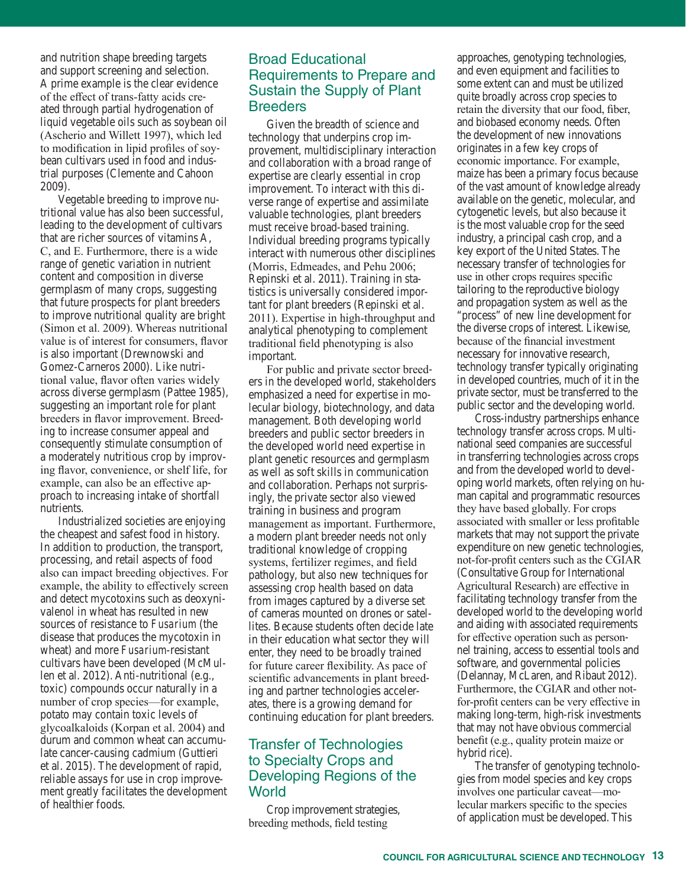and nutrition shape breeding targets and support screening and selection. A prime example is the clear evidence of the effect of trans-fatty acids created through partial hydrogenation of liquid vegetable oils such as soybean oil (Ascherio and Willett 1997), which led to modification in lipid profiles of soybean cultivars used in food and industrial purposes (Clemente and Cahoon 2009).

Vegetable breeding to improve nutritional value has also been successful, leading to the development of cultivars that are richer sources of vitamins A, C, and E. Furthermore, there is a wide range of genetic variation in nutrient content and composition in diverse germplasm of many crops, suggesting that future prospects for plant breeders to improve nutritional quality are bright (Simon et al. 2009). Whereas nutritional value is of interest for consumers, flavor is also important (Drewnowski and Gomez-Carneros 2000). Like nutritional value, flavor often varies widely across diverse germplasm (Pattee 1985), suggesting an important role for plant breeders in flavor improvement. Breeding to increase consumer appeal and consequently stimulate consumption of a moderately nutritious crop by improving flavor, convenience, or shelf life, for example, can also be an effective approach to increasing intake of shortfall nutrients.

Industrialized societies are enjoying the cheapest and safest food in history. In addition to production, the transport, processing, and retail aspects of food also can impact breeding objectives. For example, the ability to effectively screen and detect mycotoxins such as deoxynivalenol in wheat has resulted in new sources of resistance to *Fusarium* (the disease that produces the mycotoxin in wheat) and more *Fusarium*-resistant cultivars have been developed (McMullen et al. 2012). Anti-nutritional (e.g., toxic) compounds occur naturally in a number of crop species—for example, potato may contain toxic levels of glycoalkaloids (Korpan et al. 2004) and durum and common wheat can accumulate cancer-causing cadmium (Guttieri et al. 2015). The development of rapid, reliable assays for use in crop improvement greatly facilitates the development of healthier foods.

# Broad Educational Requirements to Prepare and Sustain the Supply of Plant **Breeders**

Given the breadth of science and technology that underpins crop improvement, multidisciplinary interaction and collaboration with a broad range of expertise are clearly essential in crop improvement. To interact with this diverse range of expertise and assimilate valuable technologies, plant breeders must receive broad-based training. Individual breeding programs typically interact with numerous other disciplines (Morris, Edmeades, and Pehu 2006; Repinski et al. 2011). Training in statistics is universally considered important for plant breeders (Repinski et al. 2011). Expertise in high-throughput and analytical phenotyping to complement traditional field phenotyping is also important.

For public and private sector breeders in the developed world, stakeholders emphasized a need for expertise in molecular biology, biotechnology, and data management. Both developing world breeders and public sector breeders in the developed world need expertise in plant genetic resources and germplasm as well as soft skills in communication and collaboration. Perhaps not surprisingly, the private sector also viewed training in business and program management as important. Furthermore, a modern plant breeder needs not only traditional knowledge of cropping systems, fertilizer regimes, and field pathology, but also new techniques for assessing crop health based on data from images captured by a diverse set of cameras mounted on drones or satellites. Because students often decide late in their education what sector they will enter, they need to be broadly trained for future career flexibility. As pace of scientific advancements in plant breeding and partner technologies accelerates, there is a growing demand for continuing education for plant breeders.

# Transfer of Technologies to Specialty Crops and Developing Regions of the **World**

Crop improvement strategies, breeding methods, field testing

approaches, genotyping technologies, and even equipment and facilities to some extent can and must be utilized quite broadly across crop species to retain the diversity that our food, fiber, and biobased economy needs. Often the development of new innovations originates in a few key crops of economic importance. For example, maize has been a primary focus because of the vast amount of knowledge already available on the genetic, molecular, and cytogenetic levels, but also because it is the most valuable crop for the seed industry, a principal cash crop, and a key export of the United States. The necessary transfer of technologies for use in other crops requires specific tailoring to the reproductive biology and propagation system as well as the "process" of new line development for the diverse crops of interest. Likewise, because of the financial investment necessary for innovative research, technology transfer typically originating in developed countries, much of it in the private sector, must be transferred to the public sector and the developing world.

Cross-industry partnerships enhance technology transfer across crops. Multinational seed companies are successful in transferring technologies across crops and from the developed world to developing world markets, often relying on human capital and programmatic resources they have based globally. For crops associated with smaller or less profitable markets that may not support the private expenditure on new genetic technologies, not-for-profit centers such as the CGIAR (Consultative Group for International Agricultural Research) are effective in facilitating technology transfer from the developed world to the developing world and aiding with associated requirements for effective operation such as personnel training, access to essential tools and software, and governmental policies (Delannay, McLaren, and Ribaut 2012). Furthermore, the CGIAR and other notfor-profit centers can be very effective in making long-term, high-risk investments that may not have obvious commercial benefit (e.g., quality protein maize or hybrid rice).

The transfer of genotyping technologies from model species and key crops involves one particular caveat—molecular markers specific to the species of application must be developed. This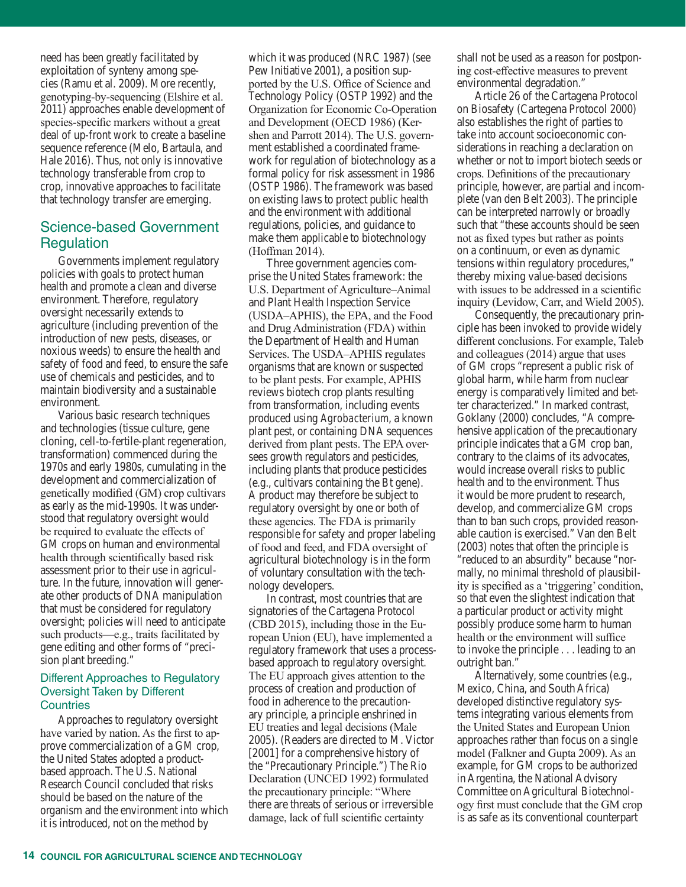need has been greatly facilitated by exploitation of synteny among species (Ramu et al. 2009). More recently, genotyping-by-sequencing (Elshire et al. 2011) approaches enable development of species-specific markers without a great deal of up-front work to create a baseline sequence reference (Melo, Bartaula, and Hale 2016). Thus, not only is innovative technology transferable from crop to crop, innovative approaches to facilitate that technology transfer are emerging.

# Science-based Government **Regulation**

Governments implement regulatory policies with goals to protect human health and promote a clean and diverse environment. Therefore, regulatory oversight necessarily extends to agriculture (including prevention of the introduction of new pests, diseases, or noxious weeds) to ensure the health and safety of food and feed, to ensure the safe use of chemicals and pesticides, and to maintain biodiversity and a sustainable environment.

Various basic research techniques and technologies (tissue culture, gene cloning, cell-to-fertile-plant regeneration, transformation) commenced during the 1970s and early 1980s, cumulating in the development and commercialization of genetically modified (GM) crop cultivars as early as the mid-1990s. It was understood that regulatory oversight would be required to evaluate the effects of GM crops on human and environmental health through scientifically based risk assessment prior to their use in agriculture. In the future, innovation will generate other products of DNA manipulation that must be considered for regulatory oversight; policies will need to anticipate such products—e.g., traits facilitated by gene editing and other forms of "precision plant breeding."

### Different Approaches to Regulatory Oversight Taken by Different **Countries**

Approaches to regulatory oversight have varied by nation. As the first to approve commercialization of a GM crop, the United States adopted a productbased approach. The U.S. National Research Council concluded that risks should be based on the nature of the organism and the environment into which it is introduced, not on the method by

which it was produced (NRC 1987) (see Pew Initiative 2001), a position supported by the U.S. Office of Science and Technology Policy (OSTP 1992) and the Organization for Economic Co-Operation and Development (OECD 1986) (Kershen and Parrott 2014). The U.S. government established a coordinated framework for regulation of biotechnology as a formal policy for risk assessment in 1986 (OSTP 1986). The framework was based on existing laws to protect public health and the environment with additional regulations, policies, and guidance to make them applicable to biotechnology (Hoffman 2014).

Three government agencies comprise the United States framework: the U.S. Department of Agriculture–Animal and Plant Health Inspection Service (USDA–APHIS), the EPA, and the Food and Drug Administration (FDA) within the Department of Health and Human Services. The USDA–APHIS regulates organisms that are known or suspected to be plant pests. For example, APHIS reviews biotech crop plants resulting from transformation, including events produced using *Agrobacterium*, a known plant pest, or containing DNA sequences derived from plant pests. The EPA oversees growth regulators and pesticides, including plants that produce pesticides (e.g., cultivars containing the Bt gene). A product may therefore be subject to regulatory oversight by one or both of these agencies. The FDA is primarily responsible for safety and proper labeling of food and feed, and FDA oversight of agricultural biotechnology is in the form of voluntary consultation with the technology developers.

In contrast, most countries that are signatories of the Cartagena Protocol (CBD 2015), including those in the European Union (EU), have implemented a regulatory framework that uses a processbased approach to regulatory oversight. The EU approach gives attention to the process of creation and production of food in adherence to the precautionary principle, a principle enshrined in EU treaties and legal decisions (Male 2005). (Readers are directed to M. Victor [2001] for a comprehensive history of the "Precautionary Principle.") The Rio Declaration (UNCED 1992) formulated the precautionary principle: "Where there are threats of serious or irreversible damage, lack of full scientific certainty

shall not be used as a reason for postponing cost-effective measures to prevent environmental degradation."

Article 26 of the Cartagena Protocol on Biosafety (Cartegena Protocol 2000) also establishes the right of parties to take into account socioeconomic considerations in reaching a declaration on whether or not to import biotech seeds or crops. Definitions of the precautionary principle, however, are partial and incomplete (van den Belt 2003). The principle can be interpreted narrowly or broadly such that "these accounts should be seen not as fixed types but rather as points on a continuum, or even as dynamic tensions within regulatory procedures," thereby mixing value-based decisions with issues to be addressed in a scientific inquiry (Levidow, Carr, and Wield 2005).

Consequently, the precautionary principle has been invoked to provide widely different conclusions. For example, Taleb and colleagues (2014) argue that uses of GM crops "represent a public risk of global harm, while harm from nuclear energy is comparatively limited and better characterized." In marked contrast, Goklany (2000) concludes, "A comprehensive application of the precautionary principle indicates that a GM crop ban, contrary to the claims of its advocates, would increase overall risks to public health and to the environment. Thus it would be more prudent to research, develop, and commercialize GM crops than to ban such crops, provided reasonable caution is exercised." Van den Belt (2003) notes that often the principle is "reduced to an absurdity" because "normally, no minimal threshold of plausibility is specified as a 'triggering' condition, so that even the slightest indication that a particular product or activity might possibly produce some harm to human health or the environment will suffice to invoke the principle . . . leading to an outright ban."

Alternatively, some countries (e.g., Mexico, China, and South Africa) developed distinctive regulatory systems integrating various elements from the United States and European Union approaches rather than focus on a single model (Falkner and Gupta 2009). As an example, for GM crops to be authorized in Argentina, the National Advisory Committee on Agricultural Biotechnology first must conclude that the GM crop is as safe as its conventional counterpart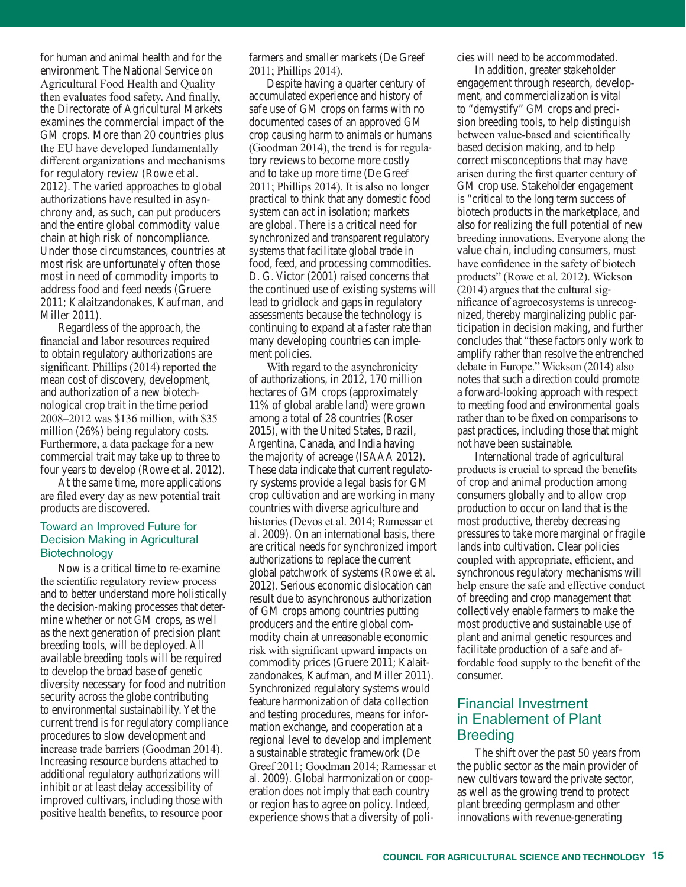for human and animal health and for the environment. The National Service on Agricultural Food Health and Quality then evaluates food safety. And finally, the Directorate of Agricultural Markets examines the commercial impact of the GM crops. More than 20 countries plus the EU have developed fundamentally different organizations and mechanisms for regulatory review (Rowe et al. 2012). The varied approaches to global authorizations have resulted in asynchrony and, as such, can put producers and the entire global commodity value chain at high risk of noncompliance. Under those circumstances, countries at most risk are unfortunately often those most in need of commodity imports to address food and feed needs (Gruere 2011; Kalaitzandonakes, Kaufman, and Miller 2011).

Regardless of the approach, the financial and labor resources required to obtain regulatory authorizations are significant. Phillips (2014) reported the mean cost of discovery, development, and authorization of a new biotechnological crop trait in the time period 2008–2012 was \$136 million, with \$35 million (26%) being regulatory costs. Furthermore, a data package for a new commercial trait may take up to three to four years to develop (Rowe et al. 2012).

At the same time, more applications are filed every day as new potential trait products are discovered.

#### Toward an Improved Future for Decision Making in Agricultural Biotechnology

Now is a critical time to re-examine the scientific regulatory review process and to better understand more holistically the decision-making processes that determine whether or not GM crops, as well as the next generation of precision plant breeding tools, will be deployed. All available breeding tools will be required to develop the broad base of genetic diversity necessary for food and nutrition security across the globe contributing to environmental sustainability. Yet the current trend is for regulatory compliance procedures to slow development and increase trade barriers (Goodman 2014). Increasing resource burdens attached to additional regulatory authorizations will inhibit or at least delay accessibility of improved cultivars, including those with positive health benefits, to resource poor

farmers and smaller markets (De Greef 2011; Phillips 2014).

Despite having a quarter century of accumulated experience and history of safe use of GM crops on farms with no documented cases of an approved GM crop causing harm to animals or humans (Goodman 2014), the trend is for regulatory reviews to become more costly and to take up more time (De Greef 2011; Phillips 2014). It is also no longer practical to think that any domestic food system can act in isolation; markets are global. There is a critical need for synchronized and transparent regulatory systems that facilitate global trade in food, feed, and processing commodities. D. G. Victor (2001) raised concerns that the continued use of existing systems will lead to gridlock and gaps in regulatory assessments because the technology is continuing to expand at a faster rate than many developing countries can implement policies.

With regard to the asynchronicity of authorizations, in 2012, 170 million hectares of GM crops (approximately 11% of global arable land) were grown among a total of 28 countries (Roser 2015), with the United States, Brazil, Argentina, Canada, and India having the majority of acreage (ISAAA 2012). These data indicate that current regulatory systems provide a legal basis for GM crop cultivation and are working in many countries with diverse agriculture and histories (Devos et al. 2014; Ramessar et al. 2009). On an international basis, there are critical needs for synchronized import authorizations to replace the current global patchwork of systems (Rowe et al. 2012). Serious economic dislocation can result due to asynchronous authorization of GM crops among countries putting producers and the entire global commodity chain at unreasonable economic risk with significant upward impacts on commodity prices (Gruere 2011; Kalaitzandonakes, Kaufman, and Miller 2011). Synchronized regulatory systems would feature harmonization of data collection and testing procedures, means for information exchange, and cooperation at a regional level to develop and implement a sustainable strategic framework (De Greef 2011; Goodman 2014; Ramessar et al. 2009). Global harmonization or cooperation does not imply that each country or region has to agree on policy. Indeed, experience shows that a diversity of policies will need to be accommodated.

In addition, greater stakeholder engagement through research, development, and commercialization is vital to "demystify" GM crops and precision breeding tools, to help distinguish between value-based and scientifically based decision making, and to help correct misconceptions that may have arisen during the first quarter century of GM crop use. Stakeholder engagement is "critical to the long term success of biotech products in the marketplace, and also for realizing the full potential of new breeding innovations. Everyone along the value chain, including consumers, must have confidence in the safety of biotech products" (Rowe et al. 2012). Wickson (2014) argues that the cultural significance of agroecosystems is unrecognized, thereby marginalizing public participation in decision making, and further concludes that "these factors only work to amplify rather than resolve the entrenched debate in Europe." Wickson (2014) also notes that such a direction could promote a forward-looking approach with respect to meeting food and environmental goals rather than to be fixed on comparisons to past practices, including those that might not have been sustainable.

International trade of agricultural products is crucial to spread the benefits of crop and animal production among consumers globally and to allow crop production to occur on land that is the most productive, thereby decreasing pressures to take more marginal or fragile lands into cultivation. Clear policies coupled with appropriate, efficient, and synchronous regulatory mechanisms will help ensure the safe and effective conduct of breeding and crop management that collectively enable farmers to make the most productive and sustainable use of plant and animal genetic resources and facilitate production of a safe and affordable food supply to the benefit of the consumer.

# Financial Investment in Enablement of Plant Breeding

The shift over the past 50 years from the public sector as the main provider of new cultivars toward the private sector, as well as the growing trend to protect plant breeding germplasm and other innovations with revenue-generating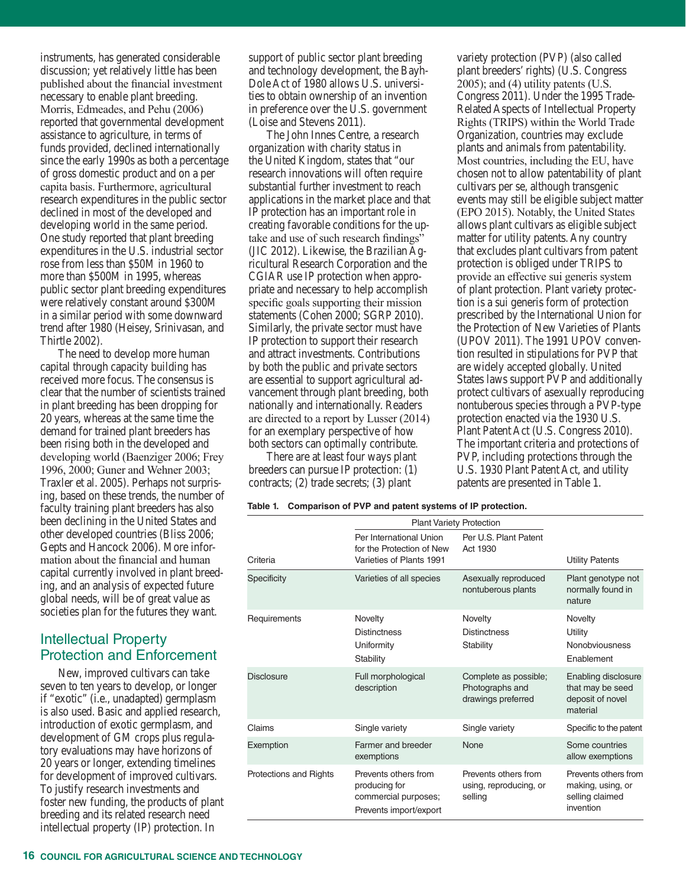instruments, has generated considerable discussion; yet relatively little has been published about the financial investment necessary to enable plant breeding. Morris, Edmeades, and Pehu (2006) reported that governmental development assistance to agriculture, in terms of funds provided, declined internationally since the early 1990s as both a percentage of gross domestic product and on a per capita basis. Furthermore, agricultural research expenditures in the public sector declined in most of the developed and developing world in the same period. One study reported that plant breeding expenditures in the U.S. industrial sector rose from less than \$50M in 1960 to more than \$500M in 1995, whereas public sector plant breeding expenditures were relatively constant around \$300M in a similar period with some downward trend after 1980 (Heisey, Srinivasan, and Thirtle 2002).

The need to develop more human capital through capacity building has received more focus. The consensus is clear that the number of scientists trained in plant breeding has been dropping for 20 years, whereas at the same time the demand for trained plant breeders has been rising both in the developed and developing world (Baenziger 2006; Frey 1996, 2000; Guner and Wehner 2003; Traxler et al. 2005). Perhaps not surprising, based on these trends, the number of faculty training plant breeders has also been declining in the United States and other developed countries (Bliss 2006; Gepts and Hancock 2006). More information about the financial and human capital currently involved in plant breeding, and an analysis of expected future global needs, will be of great value as societies plan for the futures they want.

# Intellectual Property Protection and Enforcement

New, improved cultivars can take seven to ten years to develop, or longer if "exotic" (i.e., unadapted) germplasm is also used. Basic and applied research, introduction of exotic germplasm, and development of GM crops plus regulatory evaluations may have horizons of 20 years or longer, extending timelines for development of improved cultivars. To justify research investments and foster new funding, the products of plant breeding and its related research need intellectual property (IP) protection. In

support of public sector plant breeding and technology development, the Bayh-Dole Act of 1980 allows U.S. universities to obtain ownership of an invention in preference over the U.S. government (Loise and Stevens 2011).

The John Innes Centre, a research organization with charity status in the United Kingdom, states that "our research innovations will often require substantial further investment to reach applications in the market place and that IP protection has an important role in creating favorable conditions for the uptake and use of such research findings" (JIC 2012). Likewise, the Brazilian Agricultural Research Corporation and the CGIAR use IP protection when appropriate and necessary to help accomplish specific goals supporting their mission statements (Cohen 2000; SGRP 2010). Similarly, the private sector must have IP protection to support their research and attract investments. Contributions by both the public and private sectors are essential to support agricultural advancement through plant breeding, both nationally and internationally. Readers are directed to a report by Lusser (2014) for an exemplary perspective of how both sectors can optimally contribute.

There are at least four ways plant breeders can pursue IP protection: (1) contracts; (2) trade secrets; (3) plant

**Table 1. Comparison of PVP and patent systems of IP protection.**

|                        | <b>Plant Variety Protection</b>                                                         |                                                                |                                                                           |
|------------------------|-----------------------------------------------------------------------------------------|----------------------------------------------------------------|---------------------------------------------------------------------------|
| Criteria               | Per International Union<br>for the Protection of New<br>Varieties of Plants 1991        | Per U.S. Plant Patent<br>Act 1930                              | <b>Utility Patents</b>                                                    |
| <b>Specificity</b>     | Varieties of all species                                                                | Asexually reproduced<br>nontuberous plants                     | Plant genotype not<br>normally found in<br>nature                         |
| Requirements           | Novelty<br><b>Distinctness</b><br>Uniformity<br>Stability                               | Novelty<br><b>Distinctness</b><br>Stability                    | Novelty<br>Utility<br>Nonobviousness<br>Enablement                        |
| <b>Disclosure</b>      | Full morphological<br>description                                                       | Complete as possible;<br>Photographs and<br>drawings preferred | Enabling disclosure<br>that may be seed<br>deposit of novel<br>material   |
| Claims                 | Single variety                                                                          | Single variety                                                 | Specific to the patent                                                    |
| Exemption              | Farmer and breeder<br>exemptions                                                        | None                                                           | Some countries<br>allow exemptions                                        |
| Protections and Rights | Prevents others from<br>producing for<br>commercial purposes;<br>Prevents import/export | Prevents others from<br>using, reproducing, or<br>selling      | Prevents others from<br>making, using, or<br>selling claimed<br>invention |

plant breeders' rights) (U.S. Congress 2005); and (4) utility patents (U.S. Congress 2011). Under the 1995 Trade-Related Aspects of Intellectual Property Rights (TRIPS) within the World Trade Organization, countries may exclude plants and animals from patentability. Most countries, including the EU, have chosen not to allow patentability of plant cultivars per se, although transgenic events may still be eligible subject matter (EPO 2015). Notably, the United States allows plant cultivars as eligible subject matter for utility patents. Any country that excludes plant cultivars from patent protection is obliged under TRIPS to provide an effective sui generis system of plant protection. Plant variety protection is a sui generis form of protection prescribed by the International Union for the Protection of New Varieties of Plants (UPOV 2011). The 1991 UPOV convention resulted in stipulations for PVP that are widely accepted globally. United States laws support PVP and additionally protect cultivars of asexually reproducing nontuberous species through a PVP-type protection enacted via the 1930 U.S. Plant Patent Act (U.S. Congress 2010). The important criteria and protections of PVP, including protections through the U.S. 1930 Plant Patent Act, and utility patents are presented in Table 1.

variety protection (PVP) (also called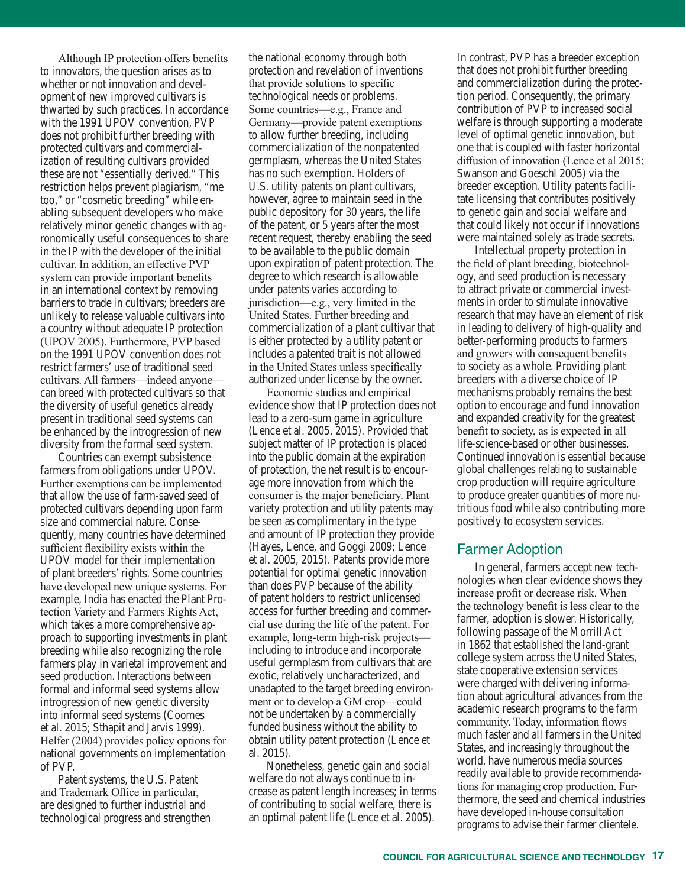Although IP protection offers benefits to innovators, the question arises as to whether or not innovation and development of new improved cultivars is thwarted by such practices. In accordance with the 1991 UPOV convention, PVP does not prohibit further breeding with protected cultivars and commercialization of resulting cultivars provided these are not "essentially derived." This restriction helps prevent plagiarism, "me too," or "cosmetic breeding" while enabling subsequent developers who make relatively minor genetic changes with agronomically useful consequences to share in the IP with the developer of the initial cultivar. In addition, an effective PVP system can provide important benefits in an international context by removing barriers to trade in cultivars; breeders are unlikely to release valuable cultivars into a country without adequate IP protection (UPOV 2005). Furthermore, PVP based on the 1991 UPOV convention does not restrict farmers' use of traditional seed cultivars. All farmers—indeed anyone can breed with protected cultivars so that the diversity of useful genetics already present in traditional seed systems can be enhanced by the introgression of new diversity from the formal seed system.

Countries can exempt subsistence farmers from obligations under UPOV. Further exemptions can be implemented that allow the use of farm-saved seed of protected cultivars depending upon farm size and commercial nature. Consequently, many countries have determined sufficient flexibility exists within the UPOV model for their implementation of plant breeders' rights. Some countries have developed new unique systems. For example, India has enacted the Plant Protection Variety and Farmers Rights Act, which takes a more comprehensive approach to supporting investments in plant breeding while also recognizing the role farmers play in varietal improvement and seed production. Interactions between formal and informal seed systems allow introgression of new genetic diversity into informal seed systems (Coomes et al. 2015; Sthapit and Jarvis 1999). Helfer (2004) provides policy options for national governments on implementation of PVP.

Patent systems, the U.S. Patent and Trademark Office in particular, are designed to further industrial and technological progress and strengthen

the national economy through both protection and revelation of inventions that provide solutions to specific technological needs or problems. Some countries—e.g., France and Germany—provide patent exemptions to allow further breeding, including commercialization of the nonpatented germplasm, whereas the United States has no such exemption. Holders of U.S. utility patents on plant cultivars, however, agree to maintain seed in the public depository for 30 years, the life of the patent, or 5 years after the most recent request, thereby enabling the seed to be available to the public domain upon expiration of patent protection. The degree to which research is allowable under patents varies according to jurisdiction—e.g., very limited in the United States. Further breeding and commercialization of a plant cultivar that is either protected by a utility patent or includes a patented trait is not allowed in the United States unless specifically authorized under license by the owner.

Economic studies and empirical evidence show that IP protection does not lead to a zero-sum game in agriculture (Lence et al. 2005, 2015). Provided that subject matter of IP protection is placed into the public domain at the expiration of protection, the net result is to encourage more innovation from which the consumer is the major beneficiary. Plant variety protection and utility patents may be seen as complimentary in the type and amount of IP protection they provide (Hayes, Lence, and Goggi 2009; Lence et al. 2005, 2015). Patents provide more potential for optimal genetic innovation than does PVP because of the ability of patent holders to restrict unlicensed access for further breeding and commercial use during the life of the patent. For example, long-term high-risk projects including to introduce and incorporate useful germplasm from cultivars that are exotic, relatively uncharacterized, and unadapted to the target breeding environment or to develop a GM crop—could not be undertaken by a commercially funded business without the ability to obtain utility patent protection (Lence et al. 2015).

Nonetheless, genetic gain and social welfare do not always continue to increase as patent length increases; in terms of contributing to social welfare, there is an optimal patent life (Lence et al. 2005).

In contrast, PVP has a breeder exception that does not prohibit further breeding and commercialization during the protection period. Consequently, the primary contribution of PVP to increased social welfare is through supporting a moderate level of optimal genetic innovation, but one that is coupled with faster horizontal diffusion of innovation (Lence et al 2015; Swanson and Goeschl 2005) via the breeder exception. Utility patents facilitate licensing that contributes positively to genetic gain and social welfare and that could likely not occur if innovations were maintained solely as trade secrets.

Intellectual property protection in the field of plant breeding, biotechnology, and seed production is necessary to attract private or commercial investments in order to stimulate innovative research that may have an element of risk in leading to delivery of high-quality and better-performing products to farmers and growers with consequent benefits to society as a whole. Providing plant breeders with a diverse choice of IP mechanisms probably remains the best option to encourage and fund innovation and expanded creativity for the greatest benefit to society, as is expected in all life-science-based or other businesses. Continued innovation is essential because global challenges relating to sustainable crop production will require agriculture to produce greater quantities of more nutritious food while also contributing more positively to ecosystem services.

# Farmer Adoption

In general, farmers accept new technologies when clear evidence shows they increase profit or decrease risk. When the technology benefit is less clear to the farmer, adoption is slower. Historically, following passage of the Morrill Act in 1862 that established the land-grant college system across the United States, state cooperative extension services were charged with delivering information about agricultural advances from the academic research programs to the farm community. Today, information flows much faster and all farmers in the United States, and increasingly throughout the world, have numerous media sources readily available to provide recommendations for managing crop production. Furthermore, the seed and chemical industries have developed in-house consultation programs to advise their farmer clientele.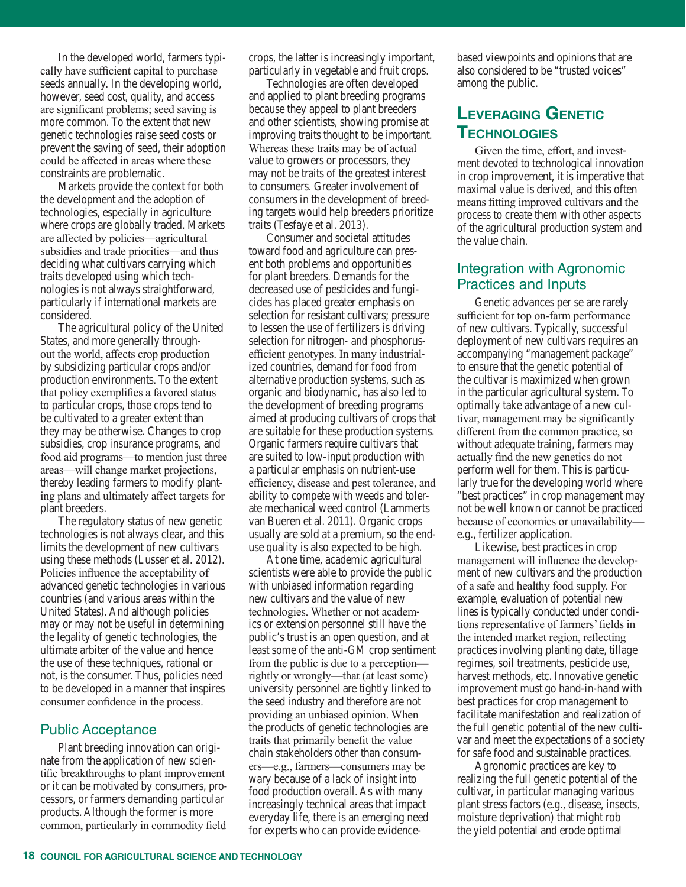In the developed world, farmers typically have sufficient capital to purchase seeds annually. In the developing world, however, seed cost, quality, and access are significant problems; seed saving is more common. To the extent that new genetic technologies raise seed costs or prevent the saving of seed, their adoption could be affected in areas where these constraints are problematic.

Markets provide the context for both the development and the adoption of technologies, especially in agriculture where crops are globally traded. Markets are affected by policies—agricultural subsidies and trade priorities—and thus deciding what cultivars carrying which traits developed using which technologies is not always straightforward, particularly if international markets are considered.

The agricultural policy of the United States, and more generally throughout the world, affects crop production by subsidizing particular crops and/or production environments. To the extent that policy exemplifies a favored status to particular crops, those crops tend to be cultivated to a greater extent than they may be otherwise. Changes to crop subsidies, crop insurance programs, and food aid programs—to mention just three areas—will change market projections, thereby leading farmers to modify planting plans and ultimately affect targets for plant breeders.

The regulatory status of new genetic technologies is not always clear, and this limits the development of new cultivars using these methods (Lusser et al. 2012). Policies influence the acceptability of advanced genetic technologies in various countries (and various areas within the United States). And although policies may or may not be useful in determining the legality of genetic technologies, the ultimate arbiter of the value and hence the use of these techniques, rational or not, is the consumer. Thus, policies need to be developed in a manner that inspires consumer confidence in the process.

### Public Acceptance

Plant breeding innovation can originate from the application of new scientific breakthroughs to plant improvement or it can be motivated by consumers, processors, or farmers demanding particular products. Although the former is more common, particularly in commodity field

crops, the latter is increasingly important, particularly in vegetable and fruit crops.

Technologies are often developed and applied to plant breeding programs because they appeal to plant breeders and other scientists, showing promise at improving traits thought to be important. Whereas these traits may be of actual value to growers or processors, they may not be traits of the greatest interest to consumers. Greater involvement of consumers in the development of breeding targets would help breeders prioritize traits (Tesfaye et al. 2013).

Consumer and societal attitudes toward food and agriculture can present both problems and opportunities for plant breeders. Demands for the decreased use of pesticides and fungicides has placed greater emphasis on selection for resistant cultivars; pressure to lessen the use of fertilizers is driving selection for nitrogen- and phosphorusefficient genotypes. In many industrialized countries, demand for food from alternative production systems, such as organic and biodynamic, has also led to the development of breeding programs aimed at producing cultivars of crops that are suitable for these production systems. Organic farmers require cultivars that are suited to low-input production with a particular emphasis on nutrient-use efficiency, disease and pest tolerance, and ability to compete with weeds and tolerate mechanical weed control (Lammerts van Bueren et al. 2011). Organic crops usually are sold at a premium, so the enduse quality is also expected to be high.

At one time, academic agricultural scientists were able to provide the public with unbiased information regarding new cultivars and the value of new technologies. Whether or not academics or extension personnel still have the public's trust is an open question, and at least some of the anti-GM crop sentiment from the public is due to a perception rightly or wrongly—that (at least some) university personnel are tightly linked to the seed industry and therefore are not providing an unbiased opinion. When the products of genetic technologies are traits that primarily benefit the value chain stakeholders other than consumers—e.g., farmers—consumers may be wary because of a lack of insight into food production overall. As with many increasingly technical areas that impact everyday life, there is an emerging need for experts who can provide evidencebased viewpoints and opinions that are also considered to be "trusted voices" among the public.

# **leverAGInG GenetIc technoloGIes**

Given the time, effort, and investment devoted to technological innovation in crop improvement, it is imperative that maximal value is derived, and this often means fitting improved cultivars and the process to create them with other aspects of the agricultural production system and the value chain.

# Integration with Agronomic Practices and Inputs

Genetic advances per se are rarely sufficient for top on-farm performance of new cultivars. Typically, successful deployment of new cultivars requires an accompanying "management package" to ensure that the genetic potential of the cultivar is maximized when grown in the particular agricultural system. To optimally take advantage of a new cultivar, management may be significantly different from the common practice, so without adequate training, farmers may actually find the new genetics do not perform well for them. This is particularly true for the developing world where "best practices" in crop management may not be well known or cannot be practiced because of economics or unavailability e.g., fertilizer application.

Likewise, best practices in crop management will influence the development of new cultivars and the production of a safe and healthy food supply. For example, evaluation of potential new lines is typically conducted under conditions representative of farmers' fields in the intended market region, reflecting practices involving planting date, tillage regimes, soil treatments, pesticide use, harvest methods, etc. Innovative genetic improvement must go hand-in-hand with best practices for crop management to facilitate manifestation and realization of the full genetic potential of the new cultivar and meet the expectations of a society for safe food and sustainable practices.

Agronomic practices are key to realizing the full genetic potential of the cultivar, in particular managing various plant stress factors (e.g., disease, insects, moisture deprivation) that might rob the yield potential and erode optimal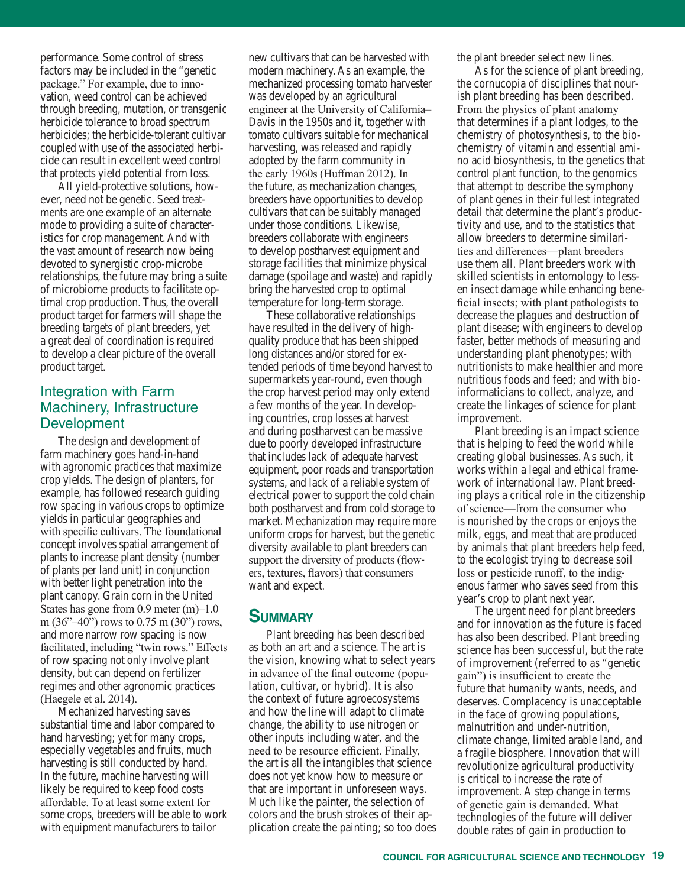performance. Some control of stress factors may be included in the "genetic package." For example, due to innovation, weed control can be achieved through breeding, mutation, or transgenic herbicide tolerance to broad spectrum herbicides; the herbicide-tolerant cultivar coupled with use of the associated herbicide can result in excellent weed control that protects yield potential from loss.

All yield-protective solutions, however, need not be genetic. Seed treatments are one example of an alternate mode to providing a suite of characteristics for crop management. And with the vast amount of research now being devoted to synergistic crop-microbe relationships, the future may bring a suite of microbiome products to facilitate optimal crop production. Thus, the overall product target for farmers will shape the breeding targets of plant breeders, yet a great deal of coordination is required to develop a clear picture of the overall product target.

# Integration with Farm Machinery, Infrastructure **Development**

The design and development of farm machinery goes hand-in-hand with agronomic practices that maximize crop yields. The design of planters, for example, has followed research guiding row spacing in various crops to optimize yields in particular geographies and with specific cultivars. The foundational concept involves spatial arrangement of plants to increase plant density (number of plants per land unit) in conjunction with better light penetration into the plant canopy. Grain corn in the United States has gone from 0.9 meter (m)–1.0 m (36"–40") rows to 0.75 m (30") rows, and more narrow row spacing is now facilitated, including "twin rows." Effects of row spacing not only involve plant density, but can depend on fertilizer regimes and other agronomic practices (Haegele et al. 2014).

Mechanized harvesting saves substantial time and labor compared to hand harvesting; yet for many crops, especially vegetables and fruits, much harvesting is still conducted by hand. In the future, machine harvesting will likely be required to keep food costs affordable. To at least some extent for some crops, breeders will be able to work with equipment manufacturers to tailor

new cultivars that can be harvested with modern machinery. As an example, the mechanized processing tomato harvester was developed by an agricultural engineer at the University of California– Davis in the 1950s and it, together with tomato cultivars suitable for mechanical harvesting, was released and rapidly adopted by the farm community in the early 1960s (Huffman 2012). In the future, as mechanization changes, breeders have opportunities to develop cultivars that can be suitably managed under those conditions. Likewise, breeders collaborate with engineers to develop postharvest equipment and storage facilities that minimize physical damage (spoilage and waste) and rapidly bring the harvested crop to optimal temperature for long-term storage.

These collaborative relationships have resulted in the delivery of highquality produce that has been shipped long distances and/or stored for extended periods of time beyond harvest to supermarkets year-round, even though the crop harvest period may only extend a few months of the year. In developing countries, crop losses at harvest and during postharvest can be massive due to poorly developed infrastructure that includes lack of adequate harvest equipment, poor roads and transportation systems, and lack of a reliable system of electrical power to support the cold chain both postharvest and from cold storage to market. Mechanization may require more uniform crops for harvest, but the genetic diversity available to plant breeders can support the diversity of products (flowers, textures, flavors) that consumers want and expect.

# **summAry**

Plant breeding has been described as both an art and a science. The art is the vision, knowing what to select years in advance of the final outcome (population, cultivar, or hybrid). It is also the context of future agroecosystems and how the line will adapt to climate change, the ability to use nitrogen or other inputs including water, and the need to be resource efficient. Finally, the art is all the intangibles that science does not yet know how to measure or that are important in unforeseen ways. Much like the painter, the selection of colors and the brush strokes of their application create the painting; so too does the plant breeder select new lines.

As for the science of plant breeding, the cornucopia of disciplines that nourish plant breeding has been described. From the physics of plant anatomy that determines if a plant lodges, to the chemistry of photosynthesis, to the biochemistry of vitamin and essential amino acid biosynthesis, to the genetics that control plant function, to the genomics that attempt to describe the symphony of plant genes in their fullest integrated detail that determine the plant's productivity and use, and to the statistics that allow breeders to determine similarities and differences—plant breeders use them all. Plant breeders work with skilled scientists in entomology to lessen insect damage while enhancing beneficial insects; with plant pathologists to decrease the plagues and destruction of plant disease; with engineers to develop faster, better methods of measuring and understanding plant phenotypes; with nutritionists to make healthier and more nutritious foods and feed; and with bioinformaticians to collect, analyze, and create the linkages of science for plant improvement.

Plant breeding is an impact science that is helping to feed the world while creating global businesses. As such, it works within a legal and ethical framework of international law. Plant breeding plays a critical role in the citizenship of science—from the consumer who is nourished by the crops or enjoys the milk, eggs, and meat that are produced by animals that plant breeders help feed, to the ecologist trying to decrease soil loss or pesticide runoff, to the indigenous farmer who saves seed from this year's crop to plant next year.

The urgent need for plant breeders and for innovation as the future is faced has also been described. Plant breeding science has been successful, but the rate of improvement (referred to as "genetic gain") is insufficient to create the future that humanity wants, needs, and deserves. Complacency is unacceptable in the face of growing populations, malnutrition and under-nutrition, climate change, limited arable land, and a fragile biosphere. Innovation that will revolutionize agricultural productivity is critical to increase the rate of improvement. A step change in terms of genetic gain is demanded. What technologies of the future will deliver double rates of gain in production to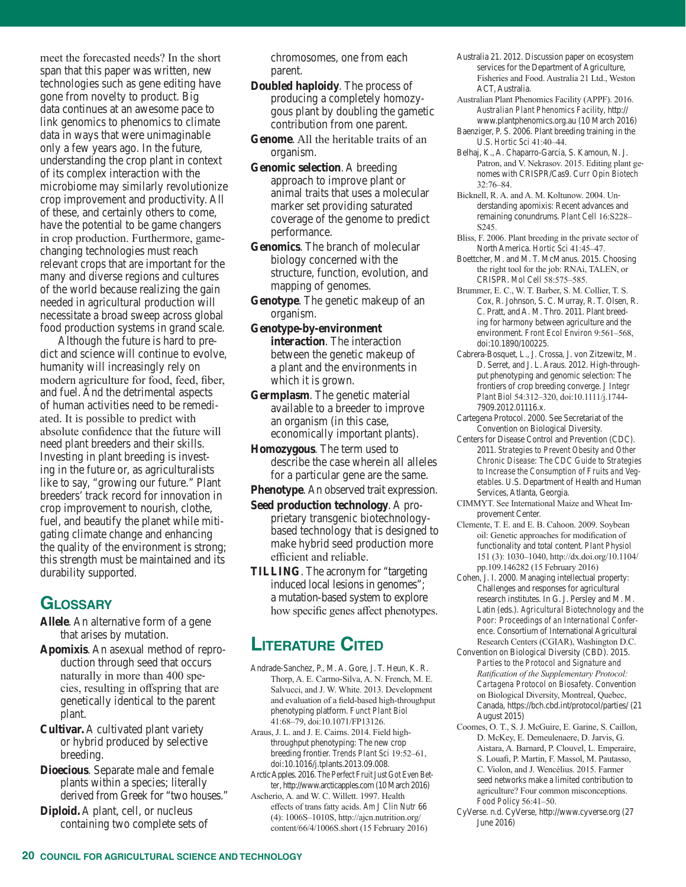meet the forecasted needs? In the short span that this paper was written, new technologies such as gene editing have gone from novelty to product. Big data continues at an awesome pace to link genomics to phenomics to climate data in ways that were unimaginable only a few years ago. In the future, understanding the crop plant in context of its complex interaction with the microbiome may similarly revolutionize crop improvement and productivity. All of these, and certainly others to come, have the potential to be game changers in crop production. Furthermore, gamechanging technologies must reach relevant crops that are important for the many and diverse regions and cultures of the world because realizing the gain needed in agricultural production will necessitate a broad sweep across global food production systems in grand scale.

Although the future is hard to predict and science will continue to evolve, humanity will increasingly rely on modern agriculture for food, feed, fiber, and fuel. And the detrimental aspects of human activities need to be remediated. It is possible to predict with absolute confidence that the future will need plant breeders and their skills. Investing in plant breeding is investing in the future or, as agriculturalists like to say, "growing our future." Plant breeders' track record for innovation in crop improvement to nourish, clothe, fuel, and beautify the planet while mitigating climate change and enhancing the quality of the environment is strong; this strength must be maintained and its durability supported.

# **GlossAry**

- **Allele**. An alternative form of a gene that arises by mutation.
- **Apomixis**. An asexual method of reproduction through seed that occurs naturally in more than 400 species, resulting in offspring that are genetically identical to the parent plant.
- **Cultivar.** A cultivated plant variety or hybrid produced by selective breeding.
- **Dioecious**. Separate male and female plants within a species; literally derived from Greek for "two houses."
- **Diploid.** A plant, cell, or nucleus containing two complete sets of

chromosomes, one from each parent.

- **Doubled haploidy**. The process of producing a completely homozygous plant by doubling the gametic contribution from one parent.
- **Genome**. All the heritable traits of an organism.
- **Genomic selection**. A breeding approach to improve plant or animal traits that uses a molecular marker set providing saturated coverage of the genome to predict performance.
- **Genomics**. The branch of molecular biology concerned with the structure, function, evolution, and mapping of genomes.
- **Genotype**. The genetic makeup of an organism.
- **Genotype-by-environment interaction**. The interaction between the genetic makeup of a plant and the environments in which it is grown.
- **Germplasm**. The genetic material available to a breeder to improve an organism (in this case, economically important plants).
- **Homozygous**. The term used to describe the case wherein all alleles for a particular gene are the same.
- **Phenotype.** An observed trait expression.
- **Seed production technology**. A proprietary transgenic biotechnologybased technology that is designed to make hybrid seed production more efficient and reliable.
- **TILLING**. The acronym for "targeting induced local lesions in genomes"; a mutation-based system to explore how specific genes affect phenotypes.

# **LITERATURE CITED**

- Andrade-Sanchez, P., M. A. Gore, J. T. Heun, K. R. Thorp, A. E. Carmo-Silva, A. N. French, M. E. Salvucci, and J. W. White. 2013. Development and evaluation of a field-based high-throughput phenotyping platform. *Funct Plant Biol*  41:68–79, doi:10.1071/FP13126.
- Araus, J. L. and J. E. Cairns. 2014. Field highthroughput phenotyping: The new crop breeding frontier. *Trends Plant Sci* 19:52–61, doi:10.1016/j.tplants.2013.09.008.
- Arctic Apples. 2016. *The Perfect Fruit Just Got Even Better*, http://www.arcticapples.com (10 March 2016)
- Ascherio, A. and W. C. Willett. 1997. Health effects of trans fatty acids. *Am J Clin Nutr* 66 (4): 1006S–1010S, http://ajcn.nutrition.org/ content/66/4/1006S.short (15 February 2016)
- Australia 21. 2012. Discussion paper on ecosystem services for the Department of Agriculture, Fisheries and Food. Australia 21 Ltd., Weston ACT, Australia.
- Australian Plant Phenomics Facility (APPF). 2016. *Australian Plant Phenomics Facility*, http:// www.plantphenomics.org.au (10 March 2016) Baenziger, P. S. 2006. Plant breeding training in the
- U.S. *Hortic Sci* 41:40–44. Belhaj, K., A. Chaparro-Garcia, S. Kamoun, N. J.
- Patron, and V. Nekrasov. 2015. Editing plant genomes with CRISPR/Cas9. *Curr Opin Biotech* 32:76–84.
- Bicknell, R. A. and A. M. Koltunow. 2004. Understanding apomixis: Recent advances and remaining conundrums. *Plant Cell* 16:S228– S245.
- Bliss, F. 2006. Plant breeding in the private sector of North America. *Hortic Sci* 41:45–47.
- Boettcher, M. and M. T. McManus. 2015. Choosing the right tool for the job: RNAi, TALEN, or CRISPR. *Mol Cell* 58:575–585.
- Brummer, E. C., W. T. Barber, S. M. Collier, T. S. Cox, R. Johnson, S. C. Murray, R. T. Olsen, R. C. Pratt, and A. M. Thro. 2011. Plant breeding for harmony between agriculture and the environment. *Front Ecol Environ* 9:561–568, doi:10.1890/100225.
- Cabrera-Bosquet, L., J. Crossa, J. von Zitzewitz, M. D. Serret, and J. L. Araus. 2012. High-throughput phenotyping and genomic selection: The frontiers of crop breeding converge. *J Integr Plant Biol* 54:312–320, doi:10.1111/j.1744- 7909.2012.01116.x.
- Cartegena Protocol. 2000. See Secretariat of the Convention on Biological Diversity.
- Centers for Disease Control and Prevention (CDC). 2011. *Strategies to Prevent Obesity and Other Chronic Disease: The CDC Guide to Strategies to Increase the Consumption of Fruits and Vegetables*. U.S. Department of Health and Human Services, Atlanta, Georgia.
- CIMMYT. See International Maize and Wheat Improvement Center.
- Clemente, T. E. and E. B. Cahoon. 2009. Soybean oil: Genetic approaches for modification of functionality and total content. *Plant Physiol* 151 (3): 1030–1040, http://dx.doi.org/10.1104/ pp.109.146282 (15 February 2016)
- Cohen, J. I. 2000. Managing intellectual property: Challenges and responses for agricultural research institutes. In G. J. Persley and M. M. Latin (eds.). *Agricultural Biotechnology and the Poor: Proceedings of an International Conference*. Consortium of International Agricultural Research Centers (CGIAR), Washington D.C.
- Convention on Biological Diversity (CBD). 2015. *Parties to the Protocol and Signature and Ratification of the Supplementary Protocol: Cartagena Protocol on Biosafety*. Convention on Biological Diversity, Montreal, Quebec, Canada, https://bch.cbd.int/protocol/parties/ (21 August 2015)
- Coomes, O. T., S. J. McGuire, E. Garine, S. Caillon, D. McKey, E. Demeulenaere, D. Jarvis, G. Aistara, A. Barnard, P. Clouvel, L. Emperaire, S. Louafi, P. Martin, F. Massol, M. Pautasso, C. Violon, and J. Wencélius. 2015. Farmer seed networks make a limited contribution to agriculture? Four common misconceptions. *Food Policy* 56:41–50.
- CyVerse. n.d. CyVerse, http://www.cyverse.org (27 June 2016)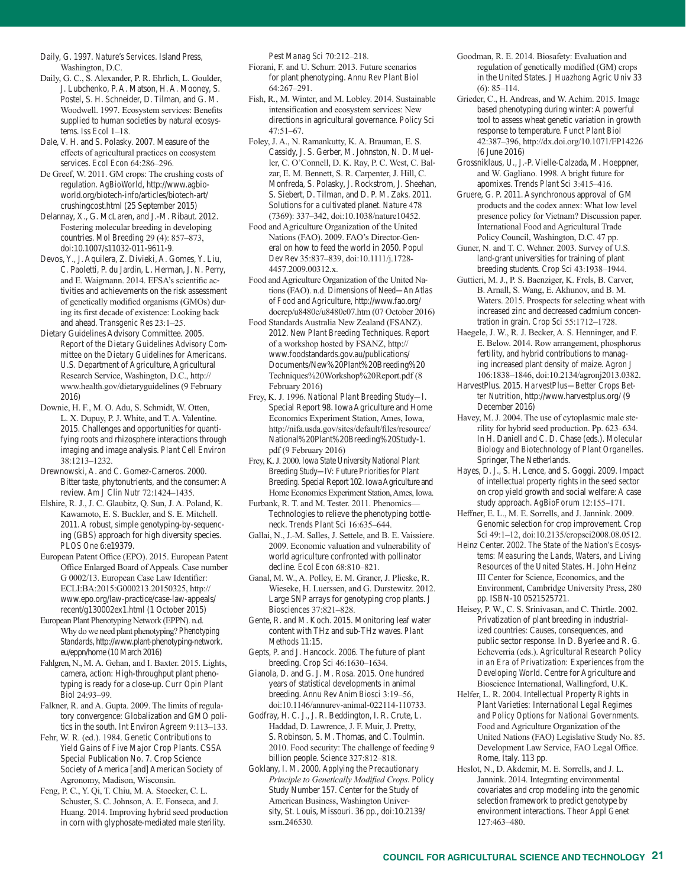Daily, G. 1997. *Nature's Services*. Island Press, Washington, D.C.

- Daily, G. C., S. Alexander, P. R. Ehrlich, L. Goulder, J. Lubchenko, P. A. Matson, H. A. Mooney, S. Postel, S. H. Schneider, D. Tilman, and G. M. Woodwell. 1997. Ecosystem services: Benefits supplied to human societies by natural ecosystems. *Iss Ecol* 1–18.
- Dale, V. H. and S. Polasky. 2007. Measure of the effects of agricultural practices on ecosystem services. *Ecol Econ* 64:286–296.
- De Greef, W. 2011. GM crops: The crushing costs of regulation. *AgBioWorld*, http://www.agbioworld.org/biotech-info/articles/biotech-art/ crushingcost.html (25 September 2015)
- Delannay, X., G. McLaren, and J.-M. Ribaut. 2012. Fostering molecular breeding in developing countries. *Mol Breeding* 29 (4): 857–873, doi:10.1007/s11032-011-9611-9.
- Devos, Y., J. Aquilera, Z. Divieki, A. Gomes, Y. Liu, C. Paoletti, P. du Jardin, L. Herman, J. N. Perry, and E. Waigmann. 2014. EFSA's scientific activities and achievements on the risk assessment of genetically modified organisms (GMOs) during its first decade of existence: Looking back and ahead. *Transgenic Res* 23:1–25.
- Dietary Guidelines Advisory Committee. 2005. *Report of the Dietary Guidelines Advisory Committee on the Dietary Guidelines for Americans*. U.S. Department of Agriculture, Agricultural Research Service, Washington, D.C., http:// www.health.gov/dietaryguidelines (9 February 2016)
- Downie, H. F., M. O. Adu, S. Schmidt, W. Otten, L. X. Dupuy, P. J. White, and T. A. Valentine. 2015. Challenges and opportunities for quantifying roots and rhizosphere interactions through imaging and image analysis. *Plant Cell Environ* 38:1213–1232.
- Drewnowski, A. and C. Gomez-Carneros. 2000. Bitter taste, phytonutrients, and the consumer: A review. *Am J Clin Nutr* 72:1424–1435.
- Elshire, R. J., J. C. Glaubitz, Q. Sun, J. A. Poland, K. Kawamoto, E. S. Buckler, and S. E. Mitchell. 2011. A robust, simple genotyping-by-sequencing (GBS) approach for high diversity species. *PLOS One* 6:e19379.
- European Patent Office (EPO). 2015. European Patent Office Enlarged Board of Appeals. Case number G 0002/13. European Case Law Identifier: ECLI:BA:2015:G000213.20150325, http:// www.epo.org/law-practice/case-law-appeals/ recent/g130002ex1.html (1 October 2015)
- European Plant Phenotyping Network (EPPN). n.d. Why do we need plant phenotyping? *Phenotyping Standards*, http://www.plant-phenotyping-network. eu/eppn/home (10 March 2016)
- Fahlgren, N., M. A. Gehan, and I. Baxter. 2015. Lights, camera, action: High-throughput plant phenotyping is ready for a close-up. *Curr Opin Plant Biol* 24:93–99.
- Falkner, R. and A. Gupta. 2009. The limits of regulatory convergence: Globalization and GMO politics in the south. *Int Environ Agreem* 9:113–133.
- Fehr, W. R. (ed.). 1984. *Genetic Contributions to Yield Gains of Five Major Crop Plants*. CSSA Special Publication No. 7. Crop Science Society of America [and] American Society of Agronomy, Madison, Wisconsin.
- Feng, P. C., Y. Qi, T. Chiu, M. A. Stoecker, C. L. Schuster, S. C. Johnson, A. E. Fonseca, and J. Huang. 2014. Improving hybrid seed production in corn with glyphosate-mediated male sterility.

*Pest Manag Sci* 70:212–218.

- Fiorani, F. and U. Schurr. 2013. Future scenarios for plant phenotyping. *Annu Rev Plant Biol*  64:267–291.
- Fish, R., M. Winter, and M. Lobley. 2014. Sustainable intensification and ecosystem services: New directions in agricultural governance. *Policy Sci*  47:51–67.
- Foley, J. A., N. Ramankutty, K. A. Brauman, E. S. Cassidy, J. S. Gerber, M. Johnston, N. D. Mueller, C. O'Connell, D. K. Ray, P. C. West, C. Balzar, E. M. Bennett, S. R. Carpenter, J. Hill, C. Monfreda, S. Polasky, J. Rockstrom, J. Sheehan, S. Siebert, D. Tilman, and D. P. M. Zaks. 2011. Solutions for a cultivated planet. *Nature* 478 (7369): 337–342, doi:10.1038/nature10452.
- Food and Agriculture Organization of the United Nations (FAO). 2009. FAO's Director-General on how to feed the world in 2050. *Popul Dev Rev* 35:837–839, doi:10.1111/j.1728- 4457.2009.00312.x.
- Food and Agriculture Organization of the United Nations (FAO). n.d. *Dimensions of Need—An Atlas of Food and Agriculture*, http://www.fao.org/ docrep/u8480e/u8480e07.htm (07 October 2016)
- Food Standards Australia New Zealand (FSANZ). 2012. *New Plant Breeding Techniques*. Report of a workshop hosted by FSANZ, http:// www.foodstandards.gov.au/publications/ Documents/New%20Plant%20Breeding%20 Techniques%20Workshop%20Report.pdf (8 February 2016)
- Frey, K. J. 1996. *National Plant Breeding Study—I*. Special Report 98. Iowa Agriculture and Home Economics Experiment Station, Ames, Iowa, http://nifa.usda.gov/sites/default/files/resource/ National%20Plant%20Breeding%20Study-1. pdf (9 February 2016)
- Frey, K. J. 2000. *Iowa State University National Plant Breeding Study—IV: Future Priorities for Plant Breeding*. Special Report 102. Iowa Agriculture and Home Economics Experiment Station, Ames, Iowa.
- Furbank, R. T. and M. Tester. 2011. Phenomics— Technologies to relieve the phenotyping bottleneck. *Trends Plant Sci* 16:635–644.
- Gallai, N., J.-M. Salles, J. Settele, and B. E. Vaissiere. 2009. Economic valuation and vulnerability of world agriculture confronted with pollinator decline. *Ecol Econ* 68:810–821.
- Ganal, M. W., A. Polley, E. M. Graner, J. Plieske, R. Wieseke, H. Luerssen, and G. Durstewitz. 2012. Large SNP arrays for genotyping crop plants. *J Biosciences* 37:821–828.
- Gente, R. and M. Koch. 2015. Monitoring leaf water content with THz and sub-THz waves. *Plant Methods* 11:15.
- Gepts, P. and J. Hancock. 2006. The future of plant breeding. *Crop Sci* 46:1630–1634.
- Gianola, D. and G. J. M. Rosa. 2015. One hundred years of statistical developments in animal breeding. *Annu Rev Anim Biosci* 3:19–56, doi:10.1146/annurev-animal-022114-110733.
- Godfray, H. C. J., J. R. Beddington, I. R. Crute, L. Haddad, D. Lawrence, J. F. Muir, J. Pretty, S. Robinson, S. M. Thomas, and C. Toulmin. 2010. Food security: The challenge of feeding 9 billion people. *Science* 327:812–818.
- Goklany, I. M. 2000. *Applying the Precautionary Principle to Genetically Modified Crops*. Policy Study Number 157. Center for the Study of American Business, Washington University, St. Louis, Missouri. 36 pp., doi:10.2139/ ssrn.246530.
- Goodman, R. E. 2014. Biosafety: Evaluation and regulation of genetically modified (GM) crops in the United States. *J Huazhong Agric Univ* 33 (6): 85–114.
- Grieder, C., H. Andreas, and W. Achim. 2015. Image based phenotyping during winter: A powerful tool to assess wheat genetic variation in growth response to temperature. *Funct Plant Biol*  42:387–396, http://dx.doi.org/10.1071/FP14226 (6 June 2016)
- Grossniklaus, U., J.-P. Vielle-Calzada, M. Hoeppner, and W. Gagliano. 1998. A bright future for apomixes. *Trends Plant Sci* 3:415–416.
- Gruere, G. P. 2011. Asynchronous approval of GM products and the codex annex: What low level presence policy for Vietnam? Discussion paper. International Food and Agricultural Trade Policy Council, Washington, D.C. 47 pp.
- Guner, N. and T. C. Wehner. 2003. Survey of U.S. land-grant universities for training of plant breeding students. *Crop Sci* 43:1938–1944.
- Guttieri, M. J., P. S. Baenziger, K. Frels, B. Carver, B. Arnall, S. Wang, E. Akhunov, and B. M. Waters. 2015. Prospects for selecting wheat with increased zinc and decreased cadmium concentration in grain. *Crop Sci* 55:1712–1728.
- Haegele, J. W., R. J. Becker, A. S. Henninger, and F. E. Below. 2014. Row arrangement, phosphorus fertility, and hybrid contributions to managing increased plant density of maize. *Agron J* 106:1838–1846, doi:10.2134/agronj2013.0382.
- HarvestPlus. 2015. *HarvestPlus—Better Crops Better Nutrition*, http://www.harvestplus.org/ (9 December 2016)
- Havey, M. J. 2004. The use of cytoplasmic male sterility for hybrid seed production. Pp. 623–634. In H. Daniell and C. D. Chase (eds.). *Molecular Biology and Biotechnology of Plant Organelles*. Springer, The Netherlands.
- Hayes, D. J., S. H. Lence, and S. Goggi. 2009. Impact of intellectual property rights in the seed sector on crop yield growth and social welfare: A case study approach. *AgBioForum* 12:155–171.
- Heffner, E. L., M. E. Sorrells, and J. Jannink. 2009. Genomic selection for crop improvement. *Crop Sci* 49:1–12, doi:10.2135/cropsci2008.08.0512.
- Heinz Center. 2002. *The State of the Nation's Ecosystems: Measuring the Lands, Waters, and Living Resources of the United States*. H. John Heinz III Center for Science, Economics, and the Environment, Cambridge University Press, 280 pp. ISBN-10 0521525721.
- Heisey, P. W., C. S. Srinivasan, and C. Thirtle. 2002. Privatization of plant breeding in industrialized countries: Causes, consequences, and public sector response. In D. Byerlee and R. G. Echeverria (eds.). *Agricultural Research Policy in an Era of Privatization: Experiences from the Developing World*. Centre for Agriculture and Bioscience International, Wallingford, U.K.
- Helfer, L. R. 2004. *Intellectual Property Rights in Plant Varieties: International Legal Regimes and Policy Options for National Governments*. Food and Agriculture Organization of the United Nations (FAO) Legislative Study No. 85. Development Law Service, FAO Legal Office. Rome, Italy. 113 pp.
- Heslot, N., D. Akdemir, M. E. Sorrells, and J. L. Jannink. 2014. Integrating environmental covariates and crop modeling into the genomic selection framework to predict genotype by environment interactions. *Theor Appl Genet* 127:463–480.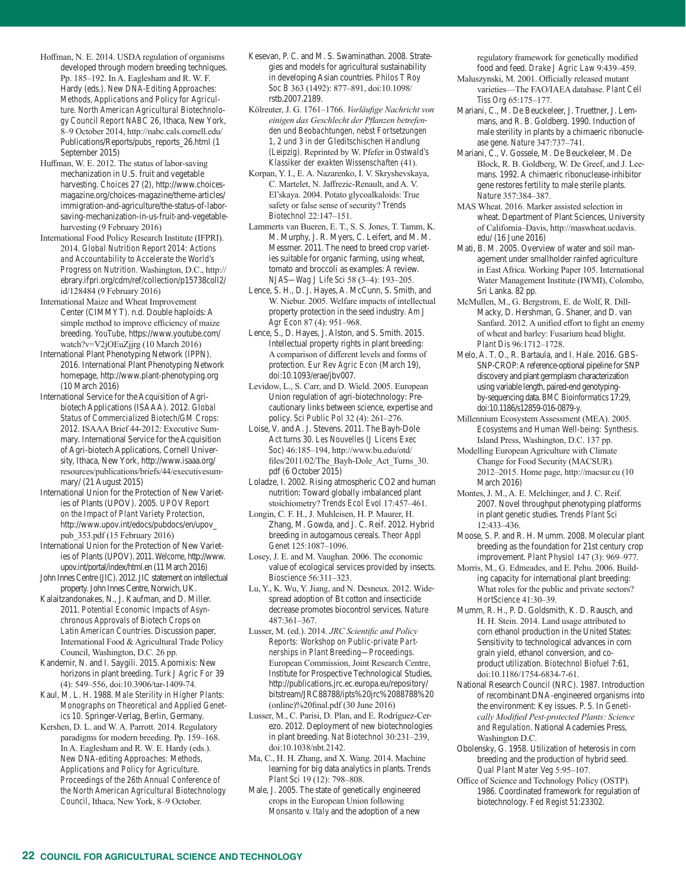- Hoffman, N. E. 2014. USDA regulation of organisms developed through modern breeding techniques. Pp. 185–192. In A. Eaglesham and R. W. F. Hardy (eds.). *New DNA-Editing Approaches: Methods, Applications and Policy for Agriculture. North American Agricultural Biotechnology Council Report NABC 26*, Ithaca, New York, 8–9 October 2014, http://nabc.cals.cornell.edu/ Publications/Reports/pubs\_reports\_26.html (1 September 2015)
- Huffman, W. E. 2012. The status of labor-saving mechanization in U.S. fruit and vegetable harvesting. *Choices* 27 (2), http://www.choicesmagazine.org/choices-magazine/theme-articles/ immigration-and-agriculture/the-status-of-laborsaving-mechanization-in-us-fruit-and-vegetableharvesting (9 February 2016)
- International Food Policy Research Institute (IFPRI). 2014. *Global Nutrition Report 2014: Actions and Accountability to Accelerate the World's Progress on Nutrition*. Washington, D.C., http:// ebrary.ifpri.org/cdm/ref/collection/p15738coll2/ id/128484 (9 February 2016)
- International Maize and Wheat Improvement Center (CIMMYT). n.d. Double haploids: A simple method to improve efficiency of maize breeding. *YouTube*, https://www.youtube.com/ watch?v=V2jOEuZjjrg (10 March 2016)
- International Plant Phenotyping Network (IPPN). 2016. International Plant Phenotyping Network homepage, http://www.plant-phenotyping.org (10 March 2016)
- International Service for the Acquisition of Agribiotech Applications (ISAAA). 2012. *Global Status of Commercialized Biotech/GM Crops: 2012*. ISAAA Brief 44-2012: Executive Summary. International Service for the Acquisition of Agri-biotech Applications, Cornell University, Ithaca, New York, http://www.isaaa.org/ resources/publications/briefs/44/executivesummary/ (21 August 2015)
- International Union for the Protection of New Varieties of Plants (UPOV). 2005. *UPOV Report on the Impact of Plant Variety Protection*, http://www.upov.int/edocs/pubdocs/en/upov\_ pub\_353.pdf (15 February 2016)
- International Union for the Protection of New Varieties of Plants (UPOV). 2011. *Welcome*, http://www. upov.int/portal/index/html.en (11 March 2016)
- John Innes Centre (JIC). 2012. JIC statement on intellectual property. John Innes Centre, Norwich, UK.
- Kalaitzandonakes, N., J. Kaufman, and D. Miller. 2011. *Potential Economic Impacts of Asynchronous Approvals of Biotech Crops on Latin American Countries*. Discussion paper, International Food & Agricultural Trade Policy Council, Washington, D.C. 26 pp.
- Kandemir, N. and I. Saygili. 2015. Apomixis: New horizons in plant breeding. *Turk J Agric For* 39 (4): 549–556, doi:10.3906/tar-1409-74.
- Kaul, M. L. H. 1988. *Male Sterility in Higher Plants: Monographs on Theoretical and Applied Genetics 10*. Springer-Verlag, Berlin, Germany.
- Kershen, D. L. and W. A. Parrott. 2014. Regulatory paradigms for modern breeding. Pp. 159–168. In A. Eaglesham and R. W. E. Hardy (eds.). *New DNA-editing Approaches: Methods, Applications and Policy for Agriculture. Proceedings of the 26th Annual Conference of the North American Agricultural Biotechnology Council*, Ithaca, New York, 8–9 October.
- Kesevan, P. C. and M. S. Swaminathan. 2008. Strategies and models for agricultural sustainability in developing Asian countries. *Philos T Roy Soc B* 363 (1492): 877–891, doi:10.1098/ rstb.2007.2189.
- Kölreuter, J. G. 1761–1766. *Vorläufige Nachricht von einigen das Geschlecht der Pflanzen betrefenden und Beobachtungen, nebst Fortsetzungen 1, 2 und 3 in der Gleditschischen Handlung (Leipzig)*. Reprinted by W. Pfefer in *Ostwald's Klassiker der exakten Wissenschaften* (41).
- Korpan, Y. I., E. A. Nazarenko, I. V. Skryshevskaya, C. Martelet, N. Jaffrezic-Renault, and A. V. El'skaya. 2004. Potato glycoalkaloids: True safety or false sense of security? *Trends Biotechnol* 22:147–151.
- Lammerts van Bueren, E. T., S. S. Jones, T. Tamm, K. M. Murphy, J. R. Myers, C. Leifert, and M. M. Messmer. 2011. The need to breed crop varieties suitable for organic farming, using wheat, tomato and broccoli as examples: A review. *NJAS—Wag J Life Sci* 58 (3–4): 193–205.
- Lence, S. H., D. J. Hayes, A. McCunn, S. Smith, and W. Niebur. 2005. Welfare impacts of intellectual property protection in the seed industry. *Am J Agr Econ* 87 (4): 951–968.
- Lence, S., D. Hayes, J. Alston, and S. Smith. 2015. Intellectual property rights in plant breeding: A comparison of different levels and forms of protection. *Eur Rev Agric Econ* (March 19), doi:10.1093/erae/jbv007.
- Levidow, L., S. Carr, and D. Wield. 2005. European Union regulation of agri-biotechnology: Precautionary links between science, expertise and policy. *Sci Public Pol* 32 (4): 261–276.
- Loise, V. and A. J. Stevens. 2011. The Bayh-Dole Act turns 30. *Les Nouvelles (J Licens Exec Soc)* 46:185–194, http://www.bu.edu/otd/ files/2011/02/The\_Bayh-Dole\_Act\_Turns\_30. pdf (6 October 2015)
- Loladze, I. 2002. Rising atmospheric CO2 and human nutrition: Toward globally imbalanced plant stoichiometry? *Trends Ecol Evol* 17:457–461.
- Longin, C. F. H., J. Muhleisen, H. P. Maurer, H. Zhang, M. Gowda, and J. C. Reif. 2012. Hybrid breeding in autogamous cereals. *Theor Appl Genet* 125:1087–1096.
- Losey, J. E. and M. Vaughan. 2006. The economic value of ecological services provided by insects. *Bioscience* 56:311–323.
- Lu, Y., K. Wu, Y. Jiang, and N. Desneux. 2012. Widespread adoption of Bt cotton and insecticide decrease promotes biocontrol services. *Nature* 487:361–367.
- Lusser, M. (ed.). 2014. *JRC Scientific and Policy Reports: Workshop on Public-private Partnerships in Plant Breeding—Proceedings*. European Commission, Joint Research Centre, Institute for Prospective Technological Studies, http://publications.jrc.ec.europa.eu/repository/ bitstream/JRC88788/ipts%20jrc%2088788%20 (online)%20final.pdf (30 June 2016)
- Lusser, M., C. Parisi, D. Plan, and E. Rodríguez-Cerezo. 2012. Deployment of new biotechnologies in plant breeding. *Nat Biotechnol* 30:231–239, doi:10.1038/nbt.2142.
- Ma, C., H. H. Zhang, and X. Wang. 2014. Machine learning for big data analytics in plants. *Trends Plant Sci* 19 (12): 798–808.
- Male, J. 2005. The state of genetically engineered crops in the European Union following *Monsanto v. Italy* and the adoption of a new

regulatory framework for genetically modified food and feed. *Drake J Agric Law* 9:439–459.

- Maluszynski, M. 2001. Officially released mutant varieties—The FAO/IAEA database. *Plant Cell Tiss Org* 65:175–177.
- Mariani, C., M. De Beuckeleer, J. Truettner, J. Lemmans, and R. B. Goldberg. 1990. Induction of male sterility in plants by a chimaeric ribonuclease gene. *Nature* 347:737–741.
- Mariani, C., V. Gossele, M. De Beuckeleer, M. De Block, R. B. Goldberg, W. De Greef, and J. Leemans. 1992. A chimaeric ribonuclease-inhibitor gene restores fertility to male sterile plants. *Nature* 357:384–387.
- MAS Wheat. 2016. Marker assisted selection in wheat. Department of Plant Sciences, University of California–Davis, http://maswheat.ucdavis. edu/ (16 June 2016)
- Mati, B. M. 2005. Overview of water and soil management under smallholder rainfed agriculture in East Africa. Working Paper 105. International Water Management Institute (IWMI), Colombo, Sri Lanka. 82 pp.
- McMullen, M., G. Bergstrom, E. de Wolf, R. Dill-Macky, D. Hershman, G. Shaner, and D. van Sanfard. 2012. A unified effort to fight an enemy of wheat and barley: Fusarium head blight. *Plant Dis* 96:1712–1728.
- Melo, A. T. O., R. Bartaula, and I. Hale. 2016. GBS-SNP-CROP: A reference-optional pipeline for SNP discovery and plant germplasm characterization using variable length, paired-end genotypingby-sequencing data. *BMC Bioinformatics* 17:29, doi:10.1186/s12859-016-0879-y.
- Millennium Ecosystem Assessment (MEA). 2005. *Ecosystems and Human Well-being: Synthesis*. Island Press, Washington, D.C. 137 pp.
- Modelling European Agriculture with Climate Change for Food Security (MACSUR). 2012–2015. Home page, http://macsur.eu (10 March 2016)
- Montes, J. M., A. E. Melchinger, and J. C. Reif. 2007. Novel throughput phenotyping platforms in plant genetic studies. *Trends Plant Sci* 12:433–436.
- Moose, S. P. and R. H. Mumm. 2008. Molecular plant breeding as the foundation for 21st century crop improvement. *Plant Physiol* 147 (3): 969–977.
- Morris, M., G. Edmeades, and E. Pehu. 2006. Building capacity for international plant breeding: What roles for the public and private sectors? *HortScience* 41:30–39.
- Mumm, R. H., P. D. Goldsmith, K. D. Rausch, and H. H. Stein. 2014. Land usage attributed to corn ethanol production in the United States: Sensitivity to technological advances in corn grain yield, ethanol conversion, and coproduct utilization. *Biotechnol Biofuel* 7:61, doi:10.1186/1754-6834-7-61.
- National Research Council (NRC). 1987. Introduction of recombinant DNA-engineered organisms into the environment: Key issues. P. 5. In *Genetically Modified Pest-protected Plants: Science and Regulation*. National Academies Press, Washington D.C.
- Obolensky, G. 1958. Utilization of heterosis in corn breeding and the production of hybrid seed. *Qual Plant Mater Veg* 5:95–107.
- Office of Science and Technology Policy (OSTP). 1986. Coordinated framework for regulation of biotechnology. *Fed Regist* 51:23302.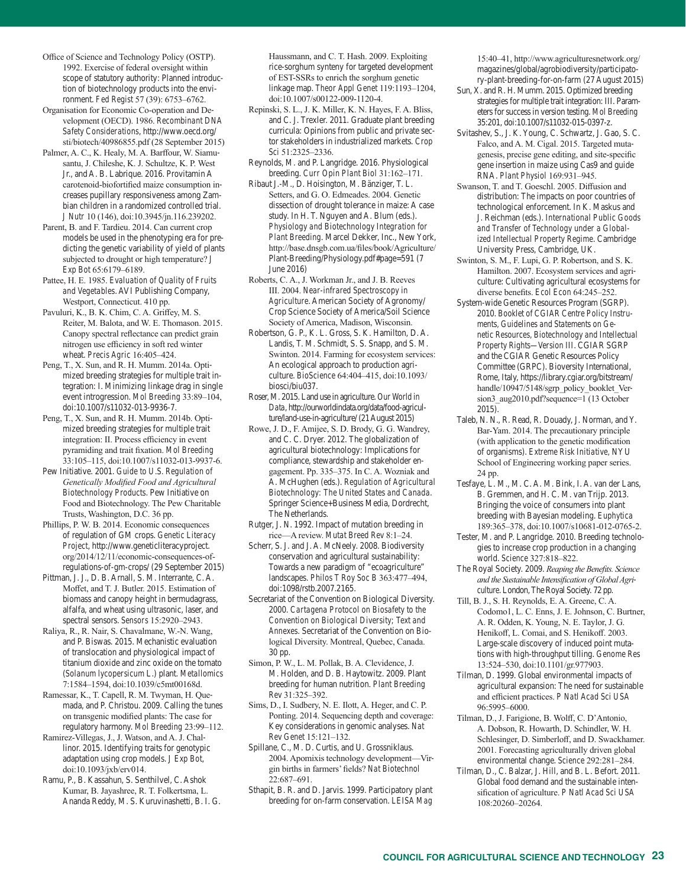Office of Science and Technology Policy (OSTP). 1992. Exercise of federal oversight within scope of statutory authority: Planned introduction of biotechnology products into the environment. *Fed Regist* 57 (39): 6753–6762.

Organisation for Economic Co-operation and Development (OECD). 1986. *Recombinant DNA Safety Considerations*, http://www.oecd.org/ sti/biotech/40986855.pdf (28 September 2015)

Palmer, A. C., K. Healy, M. A. Barffour, W. Siamusantu, J. Chileshe, K. J. Schultze, K. P. West Jr., and A. B. Labrique. 2016. Provitamin A carotenoid-biofortified maize consumption increases pupillary responsiveness among Zambian children in a randomized controlled trial. *J Nutr* 10 (146), doi:10.3945/jn.116.239202.

Parent, B. and F. Tardieu. 2014. Can current crop models be used in the phenotyping era for predicting the genetic variability of yield of plants subjected to drought or high temperature? *J Exp Bot* 65:6179–6189.

Pattee, H. E. 1985. *Evaluation of Quality of Fruits and Vegetables*. AVI Publishing Company, Westport, Connecticut. 410 pp.

Pavuluri, K., B. K. Chim, C. A. Griffey, M. S. Reiter, M. Balota, and W. E. Thomason. 2015. Canopy spectral reflectance can predict grain nitrogen use efficiency in soft red winter wheat. *Precis Agric* 16:405–424.

Peng, T., X. Sun, and R. H. Mumm. 2014a. Optimized breeding strategies for multiple trait integration: I. Minimizing linkage drag in single event introgression. *Mol Breeding* 33:89–104, doi:10.1007/s11032-013-9936-7.

Peng, T., X. Sun, and R. H. Mumm. 2014b. Optimized breeding strategies for multiple trait integration: II. Process efficiency in event pyramiding and trait fixation. *Mol Breeding*  33:105–115, doi:10.1007/s11032-013-9937-6.

Pew Initiative. 2001. *Guide to U.S. Regulation of Genetically Modified Food and Agricultural Biotechnology Products*. Pew Initiative on Food and Biotechnology. The Pew Charitable Trusts, Washington, D.C. 36 pp.

Phillips, P. W. B. 2014. Economic consequences of regulation of GM crops. *Genetic Literacy Project*, http://www.geneticliteracyproject. org/2014/12/11/economic-consequences-ofregulations-of-gm-crops/ (29 September 2015)

Pittman, J. J., D. B. Arnall, S. M. Interrante, C. A. Moffet, and T. J. Butler. 2015. Estimation of biomass and canopy height in bermudagrass, alfalfa, and wheat using ultrasonic, laser, and spectral sensors. *Sensors* 15:2920–2943.

Raliya, R., R. Nair, S. Chavalmane, W.-N. Wang, and P. Biswas. 2015. Mechanistic evaluation of translocation and physiological impact of titanium dioxide and zinc oxide on the tomato (*Solanum lycopersicum* L.) plant. *Metallomics*  7:1584–1594, doi:10.1039/c5mt00168d.

Ramessar, K., T. Capell, R. M. Twyman, H. Quemada, and P. Christou. 2009. Calling the tunes on transgenic modified plants: The case for regulatory harmony. *Mol Breeding* 23:99–112.

Ramirez-Villegas, J., J. Watson, and A. J. Challinor. 2015. Identifying traits for genotypic adaptation using crop models. *J Exp Bot*, doi:10.1093/jxb/erv014.

Ramu, P., B. Kassahun, S. Senthilvel, C. Ashok Kumar, B. Jayashree, R. T. Folkertsma, L. Ananda Reddy, M. S. Kuruvinashetti, B. I. G. Haussmann, and C. T. Hash. 2009. Exploiting rice-sorghum synteny for targeted development of EST-SSRs to enrich the sorghum genetic linkage map. *Theor Appl Genet* 119:1193–1204, doi:10.1007/s00122-009-1120-4.

Repinski, S. L., J. K. Miller, K. N. Hayes, F. A. Bliss, and C. J. Trexler. 2011. Graduate plant breeding curricula: Opinions from public and private sector stakeholders in industrialized markets. *Crop Sci* 51:2325–2336.

Reynolds, M. and P. Langridge. 2016. Physiological breeding. *Curr Opin Plant Biol* 31:162–171.

Ribaut J.-M., D. Hoisington, M. Bänziger, T. L. Setters, and G. O. Edmeades. 2004. Genetic dissection of drought tolerance in maize: A case study. In H. T. Nguyen and A. Blum (eds.). *Physiology and Biotechnology Integration for Plant Breeding*. Marcel Dekker, Inc., New York, http://base.dnsgb.com.ua/files/book/Agriculture/ Plant-Breeding/Physiology.pdf#page=591 (7 June 2016)

Roberts, C. A., J. Workman Jr., and J. B. Reeves III. 2004. *Near-infrared Spectroscopy in Agriculture*. American Society of Agronomy/ Crop Science Society of America/Soil Science Society of America, Madison, Wisconsin.

Robertson, G. P., K. L. Gross, S. K. Hamilton, D. A. Landis, T. M. Schmidt, S. S. Snapp, and S. M. Swinton. 2014. Farming for ecosystem services: An ecological approach to production agriculture. *BioScience* 64:404–415, doi:10.1093/ biosci/biu037.

Roser, M. 2015. Land use in agriculture. *Our World in Data*, http://ourworldindata.org/data/food-agriculture/land-use-in-agriculture/ (21 August 2015)

Rowe, J. D., F. Amijee, S. D. Brody, G. G. Wandrey, and C. C. Dryer. 2012. The globalization of agricultural biotechnology: Implications for compliance, stewardship and stakeholder engagement. Pp. 335–375. In C. A. Wozniak and A. McHughen (eds.). *Regulation of Agricultural Biotechnology: The United States and Canada*. Springer Science+Business Media, Dordrecht, The Netherlands.

Rutger, J. N. 1992. Impact of mutation breeding in rice—A review. *Mutat Breed Rev* 8:1–24.

Scherr, S. J. and J. A. McNeely. 2008. Biodiversity conservation and agricultural sustainability: Towards a new paradigm of "ecoagriculture" landscapes. *Philos T Roy Soc B* 363:477–494, doi:1098/rstb.2007.2165.

Secretariat of the Convention on Biological Diversity. 2000. *Cartagena Protocol on Biosafety to the Convention on Biological Diversity; Text and Annexes*. Secretariat of the Convention on Biological Diversity. Montreal, Quebec, Canada. 30 pp.

Simon, P. W., L. M. Pollak, B. A. Clevidence, J. M. Holden, and D. B. Haytowitz. 2009. Plant breeding for human nutrition. *Plant Breeding Rev* 31:325–392.

Sims, D., I. Sudbery, N. E. Ilott, A. Heger, and C. P. Ponting. 2014. Sequencing depth and coverage: Key considerations in genomic analyses. *Nat Rev Genet* 15:121–132.

Spillane, C., M. D. Curtis, and U. Grossniklaus. 2004. Apomixis technology development—Virgin births in farmers' fields? *Nat Biotechnol* 22:687–691.

Sthapit, B. R. and D. Jarvis. 1999. Participatory plant breeding for on-farm conservation. *LEISA Mag*

15:40–41, http://www.agriculturesnetwork.org/ magazines/global/agrobiodiversity/participatory-plant-breeding-for-on-farm (27 August 2015)

Sun, X. and R. H. Mumm. 2015. Optimized breeding strategies for multiple trait integration: III. Parameters for success in version testing. *Mol Breeding* 35:201, doi:10.1007/s11032-015-0397-z.

Svitashev, S., J. K. Young, C. Schwartz, J. Gao, S. C. Falco, and A. M. Cigal. 2015. Targeted mutagenesis, precise gene editing, and site-specific gene insertion in maize using Cas9 and guide RNA. *Plant Physiol* 169:931–945.

Swanson, T. and T. Goeschl. 2005. Diffusion and distribution: The impacts on poor countries of technological enforcement. In K. Maskus and J. Reichman (eds.). *International Public Goods and Transfer of Technology under a Globalized Intellectual Property Regime*. Cambridge University Press, Cambridge, UK.

Swinton, S. M., F. Lupi, G. P. Robertson, and S. K. Hamilton. 2007. Ecosystem services and agriculture: Cultivating agricultural ecosystems for diverse benefits. *Ecol Econ* 64:245–252.

System-wide Genetic Resources Program (SGRP). 2010. *Booklet of CGIAR Centre Policy Instruments, Guidelines and Statements on Genetic Resources, Biotechnology and Intellectual Property Rights—Version III*. CGIAR SGRP and the CGIAR Genetic Resources Policy Committee (GRPC). Bioversity International, Rome, Italy, https://library.cgiar.org/bitstream/ handle/10947/5148/sgrp\_policy\_booklet\_Version3\_aug2010.pdf?sequence=1 (13 October 2015).

Taleb, N. N., R. Read, R. Douady, J. Norman, and Y. Bar-Yam. 2014. The precautionary principle (with application to the genetic modification of organisms). *Extreme Risk Initiative,* NYU School of Engineering working paper series. 24 pp.

Tesfaye, L. M., M. C. A. M. Bink, I. A. van der Lans, B. Gremmen, and H. C. M. van Trijp. 2013. Bringing the voice of consumers into plant breeding with Bayesian modeling. *Euphytica*  189:365–378, doi:10.1007/s10681-012-0765-2.

Tester, M. and P. Langridge. 2010. Breeding technologies to increase crop production in a changing world. *Science* 327:818–822.

The Royal Society. 2009. *Reaping the Benefits. Science and the Sustainable Intensification of Global Agriculture*. London, The Royal Society. 72 pp.

Till, B. J., S. H. Reynolds, E. A. Greene, C. A. Codomo1, L. C. Enns, J. E. Johnson, C. Burtner, A. R. Odden, K. Young, N. E. Taylor, J. G. Henikoff, L. Comai, and S. Henikoff. 2003. Large-scale discovery of induced point mutations with high-throughput tilling. *Genome Res* 13:524–530, doi:10.1101/gr.977903.

Tilman, D. 1999. Global environmental impacts of agricultural expansion: The need for sustainable and efficient practices. *P Natl Acad Sci USA*  96:5995–6000.

Tilman, D., J. Farigione, B. Wolff, C. D'Antonio, A. Dobson, R. Howarth, D. Schindler, W. H. Schlesinger, D. Simberloff, and D. Swackhamer. 2001. Forecasting agriculturally driven global environmental change. *Science* 292:281–284.

Tilman, D., C. Balzar, J. Hill, and B. L. Befort. 2011. Global food demand and the sustainable intensification of agriculture. *P Natl Acad Sci USA*  108:20260–20264.